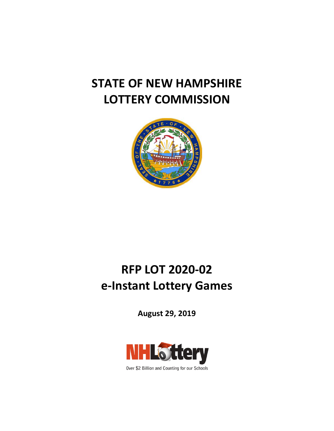# **STATE OF NEW HAMPSHIRE LOTTERY COMMISSION**



# **RFP LOT 2020-02 e-Instant Lottery Games**

**August 29, 2019**



Over \$2 Billion and Counting for our Schools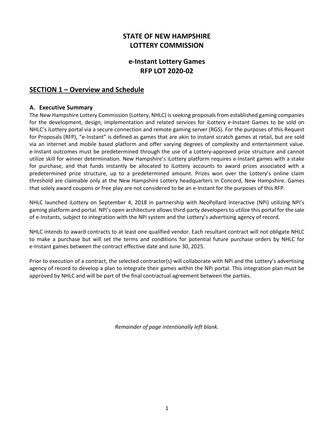# **STATE OF NEW HAMPSHIRE LOTTERY COMMISSION**

# **e-Instant Lottery Games RFP LOT 2020-02**

# **SECTION 1 – Overview and Schedule**

### **A. Executive Summary**

The New Hampshire Lottery Commission (Lottery, NHLC) is seeking proposals from established gaming companies for the development, design, implementation and related services for iLottery e-Instant Games to be sold on NHLC's iLottery portal via a secure connection and remote gaming server (RGS). For the purposes of this Request for Proposals (RFP), "e-Instant" is defined as games that are akin to instant scratch games at retail, but are sold via an internet and mobile based platform and offer varying degrees of complexity and entertainment value. e-Instant outcomes must be predetermined through the use of a Lottery-approved prize structure and cannot utilize skill for winner determination. New Hampshire's iLottery platform requires e-Instant games with a stake for purchase, and that funds instantly be allocated to iLottery accounts to award prizes associated with a predetermined prize structure, up to a predetermined amount. Prizes won over the Lottery's online claim threshold are claimable only at the New Hampshire Lottery headquarters in Concord, New Hampshire. Games that solely award coupons or free play are not considered to be an e-Instant for the purposes of this RFP.

NHLC launched iLottery on September 4, 2018 in partnership with NeoPollard Interactive (NPi) utilizing NPi's gaming platform and portal. NPi's open architecture allows third-party developers to utilize this portal for the sale of e-Instants, subject to integration with the NPi system and the Lottery's advertising agency of record.

NHLC intends to award contracts to at least one qualified vendor. Each resultant contract will not obligate NHLC to make a purchase but will set the terms and conditions for potential future purchase orders by NHLC for e-Instant games between the contract effective date and June 30, 2025.

Prior to execution of a contract, the selected contractor(s) will collaborate with NPi and the Lottery's advertising agency of record to develop a plan to integrate their games within the NPi portal. This integration plan must be approved by NHLC and will be part of the final contractual agreement between the parties.

*Remainder of page intentionally left blank.*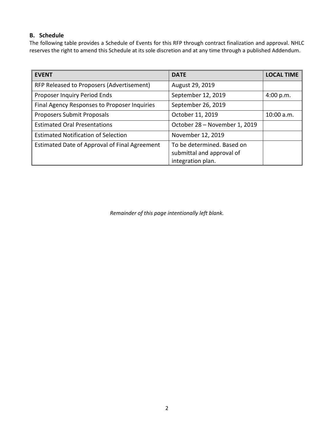# **B. Schedule**

The following table provides a Schedule of Events for this RFP through contract finalization and approval. NHLC reserves the right to amend this Schedule at its sole discretion and at any time through a published Addendum.

| <b>EVENT</b>                                  | <b>DATE</b>                                                                  | <b>LOCAL TIME</b> |
|-----------------------------------------------|------------------------------------------------------------------------------|-------------------|
| RFP Released to Proposers (Advertisement)     | August 29, 2019                                                              |                   |
| Proposer Inquiry Period Ends                  | September 12, 2019                                                           | 4:00 p.m.         |
| Final Agency Responses to Proposer Inquiries  | September 26, 2019                                                           |                   |
| Proposers Submit Proposals                    | October 11, 2019                                                             | 10:00 a.m.        |
| <b>Estimated Oral Presentations</b>           | October 28 - November 1, 2019                                                |                   |
| <b>Estimated Notification of Selection</b>    | November 12, 2019                                                            |                   |
| Estimated Date of Approval of Final Agreement | To be determined. Based on<br>submittal and approval of<br>integration plan. |                   |

*Remainder of this page intentionally left blank.*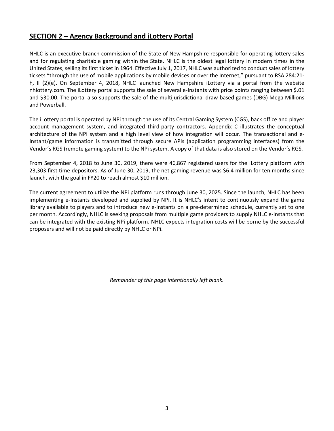# **SECTION 2 – Agency Background and iLottery Portal**

NHLC is an executive branch commission of the State of New Hampshire responsible for operating lottery sales and for regulating charitable gaming within the State. NHLC is the oldest legal lottery in modern times in the United States, selling its first ticket in 1964. Effective July 1, 2017, NHLC was authorized to conduct sales of lottery tickets "through the use of mobile applications by mobile devices or over the Internet," pursuant to RSA 284:21 h, II (2)(e). On September 4, 2018, NHLC launched New Hampshire iLottery via a portal from the website nhlottery.com. The iLottery portal supports the sale of several e-Instants with price points ranging between \$.01 and \$30.00. The portal also supports the sale of the multijurisdictional draw-based games (DBG) Mega Millions and Powerball.

The iLottery portal is operated by NPi through the use of its Central Gaming System (CGS), back office and player account management system, and integrated third-party contractors. Appendix C illustrates the conceptual architecture of the NPi system and a high level view of how integration will occur. The transactional and e-Instant/game information is transmitted through secure APIs (application programming interfaces) from the Vendor's RGS (remote gaming system) to the NPi system. A copy of that data is also stored on the Vendor's RGS.

From September 4, 2018 to June 30, 2019, there were 46,867 registered users for the iLottery platform with 23,303 first time depositors. As of June 30, 2019, the net gaming revenue was \$6.4 million for ten months since launch, with the goal in FY20 to reach almost \$10 million.

The current agreement to utilize the NPi platform runs through June 30, 2025. Since the launch, NHLC has been implementing e-Instants developed and supplied by NPi. It is NHLC's intent to continuously expand the game library available to players and to introduce new e-Instants on a pre-determined schedule, currently set to one per month. Accordingly, NHLC is seeking proposals from multiple game providers to supply NHLC e-Instants that can be integrated with the existing NPi platform. NHLC expects integration costs will be borne by the successful proposers and will not be paid directly by NHLC or NPi.

*Remainder of this page intentionally left blank.*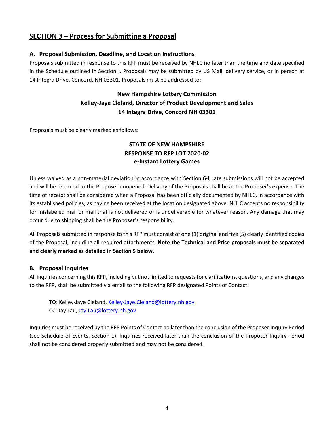# **SECTION 3 – Process for Submitting a Proposal**

### **A. Proposal Submission, Deadline, and Location Instructions**

Proposals submitted in response to this RFP must be received by NHLC no later than the time and date specified in the Schedule outlined in Section I. Proposals may be submitted by US Mail, delivery service, or in person at 14 Integra Drive, Concord, NH 03301. Proposals must be addressed to:

# **New Hampshire Lottery Commission Kelley-Jaye Cleland, Director of Product Development and Sales 14 Integra Drive, Concord NH 03301**

Proposals must be clearly marked as follows:

# **STATE OF NEW HAMPSHIRE RESPONSE TO RFP LOT 2020-02 e-Instant Lottery Games**

Unless waived as a non-material deviation in accordance with Section 6-I, late submissions will not be accepted and will be returned to the Proposer unopened. Delivery of the Proposals shall be at the Proposer's expense. The time of receipt shall be considered when a Proposal has been officially documented by NHLC, in accordance with its established policies, as having been received at the location designated above. NHLC accepts no responsibility for mislabeled mail or mail that is not delivered or is undeliverable for whatever reason. Any damage that may occur due to shipping shall be the Proposer's responsibility.

All Proposals submitted in response to this RFP must consist of one (1) original and five (5) clearly identified copies of the Proposal, including all required attachments. **Note the Technical and Price proposals must be separated and clearly marked as detailed in Section 5 below.**

## **B. Proposal Inquiries**

All inquiries concerning this RFP, including but not limited to requests for clarifications, questions, and any changes to the RFP, shall be submitted via email to the following RFP designated Points of Contact:

TO: Kelley-Jaye Cleland, [Kelley-Jaye.Cleland@lottery.nh.gov](mailto:Kelley-Jaye.Cleland@lottery.nh.gov) CC: Jay Lau, [Jay.Lau@lottery.nh.gov](mailto:Jay.Lau@lottery.nh.gov)

Inquiries must be received by the RFP Points of Contact no later than the conclusion of the Proposer Inquiry Period (see Schedule of Events, Section 1). Inquiries received later than the conclusion of the Proposer Inquiry Period shall not be considered properly submitted and may not be considered.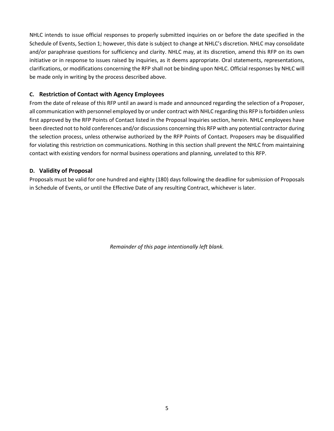NHLC intends to issue official responses to properly submitted inquiries on or before the date specified in the Schedule of Events, Section 1; however, this date is subject to change at NHLC's discretion. NHLC may consolidate and/or paraphrase questions for sufficiency and clarity. NHLC may, at its discretion, amend this RFP on its own initiative or in response to issues raised by inquiries, as it deems appropriate. Oral statements, representations, clarifications, or modifications concerning the RFP shall not be binding upon NHLC. Official responses by NHLC will be made only in writing by the process described above.

# **C. Restriction of Contact with Agency Employees**

From the date of release of this RFP until an award is made and announced regarding the selection of a Proposer, all communication with personnel employed by or under contract with NHLC regarding this RFP is forbidden unless first approved by the RFP Points of Contact listed in the Proposal Inquiries section, herein. NHLC employees have been directed not to hold conferences and/or discussions concerning this RFP with any potential contractor during the selection process, unless otherwise authorized by the RFP Points of Contact. Proposers may be disqualified for violating this restriction on communications. Nothing in this section shall prevent the NHLC from maintaining contact with existing vendors for normal business operations and planning, unrelated to this RFP.

## **D. Validity of Proposal**

Proposals must be valid for one hundred and eighty (180) days following the deadline for submission of Proposals in Schedule of Events, or until the Effective Date of any resulting Contract, whichever is later.

*Remainder of this page intentionally left blank.*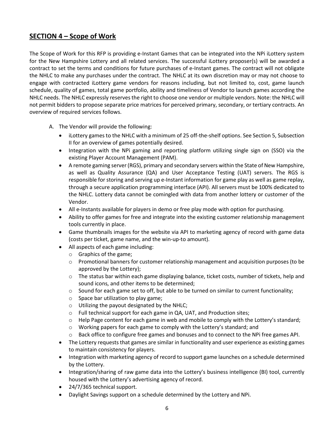# **SECTION 4 – Scope of Work**

The Scope of Work for this RFP is providing e-Instant Games that can be integrated into the NPi iLottery system for the New Hampshire Lottery and all related services. The successful iLottery proposer(s) will be awarded a contract to set the terms and conditions for future purchases of e-Instant games. The contract will not obligate the NHLC to make any purchases under the contract. The NHLC at its own discretion may or may not choose to engage with contracted iLottery game vendors for reasons including, but not limited to, cost, game launch schedule, quality of games, total game portfolio, ability and timeliness of Vendor to launch games according the NHLC needs. The NHLC expressly reserves the right to choose one vendor or multiple vendors. Note: the NHLC will not permit bidders to propose separate price matrices for perceived primary, secondary, or tertiary contracts. An overview of required services follows.

- A. The Vendor will provide the following:
	- iLottery games to the NHLC with a minimum of 25 off-the-shelf options. See Section 5, Subsection II for an overview of games potentially desired.
	- Integration with the NPi gaming and reporting platform utilizing single sign on (SSO) via the existing Player Account Management (PAM).
	- A remote gaming server (RGS), primary and secondary servers within the State of New Hampshire, as well as Quality Assurance (QA) and User Acceptance Testing (UAT) servers. The RGS is responsible for storing and serving up e-Instant information for game play as well as game replay, through a secure application programming interface (API). All servers must be 100% dedicated to the NHLC. Lottery data cannot be comingled with data from another lottery or customer of the Vendor.
	- All e-Instants available for players in demo or free play mode with option for purchasing.
	- Ability to offer games for free and integrate into the existing customer relationship management tools currently in place.
	- Game thumbnails images for the website via API to marketing agency of record with game data (costs per ticket, game name, and the win-up-to amount).
	- All aspects of each game including:
		- o Graphics of the game;
		- $\circ$  Promotional banners for customer relationship management and acquisition purposes (to be approved by the Lottery);
		- $\circ$  The status bar within each game displaying balance, ticket costs, number of tickets, help and sound icons, and other items to be determined;
		- $\circ$  Sound for each game set to off, but able to be turned on similar to current functionality;
		- o Space bar utilization to play game;
		- o Utilizing the payout designated by the NHLC;
		- o Full technical support for each game in QA, UAT, and Production sites;
		- $\circ$  Help Page content for each game in web and mobile to comply with the Lottery's standard;
		- $\circ$  Working papers for each game to comply with the Lottery's standard; and
		- o Back office to configure free games and bonuses and to connect to the NPi free games API.
	- The Lottery requests that games are similar in functionality and user experience as existing games to maintain consistency for players.
	- Integration with marketing agency of record to support game launches on a schedule determined by the Lottery.
	- Integration/sharing of raw game data into the Lottery's business intelligence (BI) tool, currently housed with the Lottery's advertising agency of record.
	- 24/7/365 technical support.
	- Daylight Savings support on a schedule determined by the Lottery and NPi.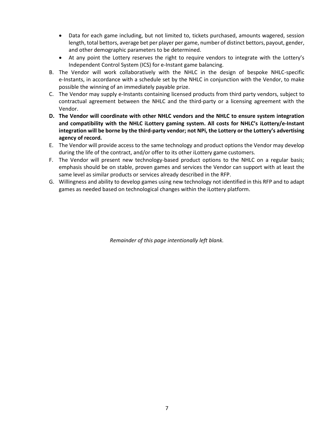- Data for each game including, but not limited to, tickets purchased, amounts wagered, session length, total bettors, average bet per player per game, number of distinct bettors, payout, gender, and other demographic parameters to be determined.
- At any point the Lottery reserves the right to require vendors to integrate with the Lottery's Independent Control System (ICS) for e-Instant game balancing.
- B. The Vendor will work collaboratively with the NHLC in the design of bespoke NHLC-specific e-Instants, in accordance with a schedule set by the NHLC in conjunction with the Vendor, to make possible the winning of an immediately payable prize.
- C. The Vendor may supply e-Instants containing licensed products from third party vendors, subject to contractual agreement between the NHLC and the third-party or a licensing agreement with the Vendor.
- **D. The Vendor will coordinate with other NHLC vendors and the NHLC to ensure system integration and compatibility with the NHLC iLottery gaming system. All costs for NHLC's iLottery/e-Instant integration will be borne by the third-party vendor; not NPi, the Lottery or the Lottery's advertising agency of record.**
- E. The Vendor will provide access to the same technology and product options the Vendor may develop during the life of the contract, and/or offer to its other iLottery game customers.
- F. The Vendor will present new technology-based product options to the NHLC on a regular basis; emphasis should be on stable, proven games and services the Vendor can support with at least the same level as similar products or services already described in the RFP.
- G. Willingness and ability to develop games using new technology not identified in this RFP and to adapt games as needed based on technological changes within the iLottery platform.

*Remainder of this page intentionally left blank.*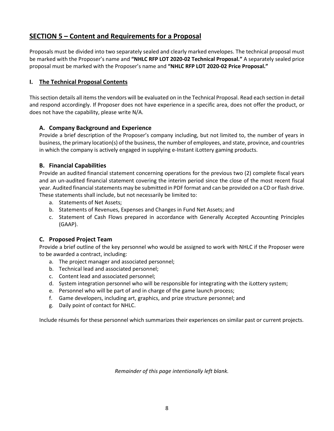# **SECTION 5 – Content and Requirements for a Proposal**

Proposals must be divided into two separately sealed and clearly marked envelopes. The technical proposal must be marked with the Proposer's name and **"NHLC RFP LOT 2020-02 Technical Proposal."** A separately sealed price proposal must be marked with the Proposer's name and **"NHLC RFP LOT 2020-02 Price Proposal."**

# **I. The Technical Proposal Contents**

This section details all items the vendors will be evaluated on in the Technical Proposal. Read each section in detail and respond accordingly. If Proposer does not have experience in a specific area, does not offer the product, or does not have the capability, please write N/A.

# **A. Company Background and Experience**

Provide a brief description of the Proposer's company including, but not limited to, the number of years in business, the primary location(s) of the business, the number of employees, and state, province, and countries in which the company is actively engaged in supplying e-Instant iLottery gaming products.

# **B. Financial Capabilities**

Provide an audited financial statement concerning operations for the previous two (2) complete fiscal years and an un-audited financial statement covering the interim period since the close of the most recent fiscal year. Audited financial statements may be submitted in PDF format and can be provided on a CD or flash drive. These statements shall include, but not necessarily be limited to:

- a. Statements of Net Assets;
- b. Statements of Revenues, Expenses and Changes in Fund Net Assets; and
- c. Statement of Cash Flows prepared in accordance with Generally Accepted Accounting Principles (GAAP).

# **C. Proposed Project Team**

Provide a brief outline of the key personnel who would be assigned to work with NHLC if the Proposer were to be awarded a contract, including:

- a. The project manager and associated personnel;
- b. Technical lead and associated personnel;
- c. Content lead and associated personnel;
- d. System integration personnel who will be responsible for integrating with the iLottery system;
- e. Personnel who will be part of and in charge of the game launch process;
- f. Game developers, including art, graphics, and prize structure personnel; and
- g. Daily point of contact for NHLC.

Include résumés for these personnel which summarizes their experiences on similar past or current projects.

*Remainder of this page intentionally left blank.*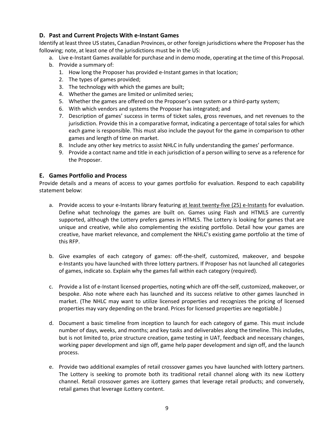# **D. Past and Current Projects With e-Instant Games**

Identify at least three US states, Canadian Provinces, or other foreign jurisdictions where the Proposer hasthe following; note, at least one of the jurisdictions must be in the US:

- a. Live e-Instant Games available for purchase and in demo mode, operating at the time of this Proposal.
- b. Provide a summary of:
	- 1. How long the Proposer has provided e-Instant games in that location;
	- 2. The types of games provided;
	- 3. The technology with which the games are built;
	- 4. Whether the games are limited or unlimited series;
	- 5. Whether the games are offered on the Proposer's own system or a third-party system;
	- 6. With which vendors and systems the Proposer has integrated; and
	- 7. Description of games' success in terms of ticket sales, gross revenues, and net revenues to the jurisdiction. Provide this in a comparative format, indicating a percentage of total sales for which each game is responsible. This must also include the payout for the game in comparison to other games and length of time on market.
	- 8. Include any other key metrics to assist NHLC in fully understanding the games' performance.
	- 9. Provide a contact name and title in each jurisdiction of a person willing to serve as a reference for the Proposer.

## **E. Games Portfolio and Process**

Provide details and a means of access to your games portfolio for evaluation. Respond to each capability statement below:

- a. Provide access to your e-Instants library featuring at least twenty-five (25) e-Instants for evaluation. Define what technology the games are built on. Games using Flash and HTML5 are currently supported, although the Lottery prefers games in HTML5. The Lottery is looking for games that are unique and creative, while also complementing the existing portfolio. Detail how your games are creative, have market relevance, and complement the NHLC's existing game portfolio at the time of this RFP.
- b. Give examples of each category of games: off-the-shelf, customized, makeover, and bespoke e-Instants you have launched with three lottery partners. If Proposer has not launched all categories of games, indicate so. Explain why the games fall within each category (required).
- c. Provide a list of e-Instant licensed properties, noting which are off-the-self, customized, makeover, or bespoke. Also note where each has launched and its success relative to other games launched in market. (The NHLC may want to utilize licensed properties and recognizes the pricing of licensed properties may vary depending on the brand. Prices for licensed properties are negotiable.)
- d. Document a basic timeline from inception to launch for each category of game. This must include number of days, weeks, and months; and key tasks and deliverables along the timeline. This includes, but is not limited to, prize structure creation, game testing in UAT, feedback and necessary changes, working paper development and sign off, game help paper development and sign off, and the launch process.
- e. Provide two additional examples of retail crossover games you have launched with lottery partners. The Lottery is seeking to promote both its traditional retail channel along with its new iLottery channel. Retail crossover games are iLottery games that leverage retail products; and conversely, retail games that leverage iLottery content.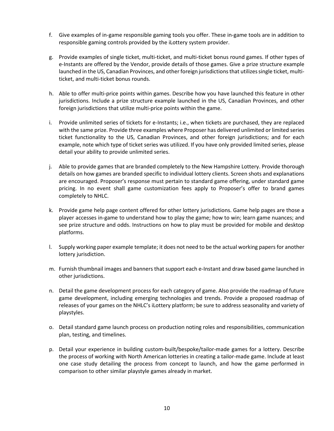- f. Give examples of in-game responsible gaming tools you offer. These in-game tools are in addition to responsible gaming controls provided by the iLottery system provider.
- g. Provide examples of single ticket, multi-ticket, and multi-ticket bonus round games. If other types of e-Instants are offered by the Vendor, provide details of those games. Give a prize structure example launched in the US, Canadian Provinces, and other foreign jurisdictions that utilizes single ticket, multiticket, and multi-ticket bonus rounds.
- h. Able to offer multi-price points within games. Describe how you have launched this feature in other jurisdictions. Include a prize structure example launched in the US, Canadian Provinces, and other foreign jurisdictions that utilize multi-price points within the game.
- i. Provide unlimited series of tickets for e-Instants; i.e., when tickets are purchased, they are replaced with the same prize. Provide three examples where Proposer has delivered unlimited or limited series ticket functionality to the US, Canadian Provinces, and other foreign jurisdictions; and for each example, note which type of ticket series was utilized. If you have only provided limited series, please detail your ability to provide unlimited series.
- j. Able to provide games that are branded completely to the New Hampshire Lottery. Provide thorough details on how games are branded specific to individual lottery clients. Screen shots and explanations are encouraged. Proposer's response must pertain to standard game offering, under standard game pricing. In no event shall game customization fees apply to Proposer's offer to brand games completely to NHLC.
- k. Provide game help page content offered for other lottery jurisdictions. Game help pages are those a player accesses in-game to understand how to play the game; how to win; learn game nuances; and see prize structure and odds. Instructions on how to play must be provided for mobile and desktop platforms.
- l. Supply working paper example template; it does not need to be the actual working papers for another lottery jurisdiction.
- m. Furnish thumbnail images and banners that support each e-Instant and draw based game launched in other jurisdictions.
- n. Detail the game development process for each category of game. Also provide the roadmap of future game development, including emerging technologies and trends. Provide a proposed roadmap of releases of your games on the NHLC's iLottery platform; be sure to address seasonality and variety of playstyles.
- o. Detail standard game launch process on production noting roles and responsibilities, communication plan, testing, and timelines.
- p. Detail your experience in building custom-built/bespoke/tailor-made games for a lottery. Describe the process of working with North American lotteries in creating a tailor-made game. Include at least one case study detailing the process from concept to launch, and how the game performed in comparison to other similar playstyle games already in market.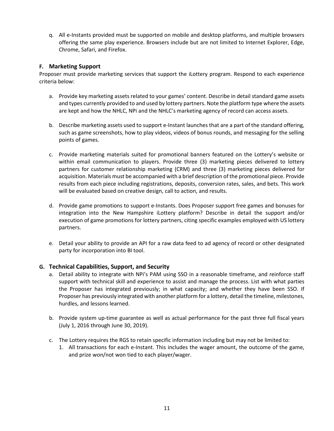q. All e-Instants provided must be supported on mobile and desktop platforms, and multiple browsers offering the same play experience. Browsers include but are not limited to Internet Explorer, Edge, Chrome, Safari, and Firefox.

### **F. Marketing Support**

Proposer must provide marketing services that support the iLottery program. Respond to each experience criteria below:

- a. Provide key marketing assets related to your games' content. Describe in detail standard game assets and types currently provided to and used by lottery partners. Note the platform type where the assets are kept and how the NHLC, NPi and the NHLC's marketing agency of record can access assets.
- b. Describe marketing assets used to support e-Instant launches that are a part of the standard offering, such as game screenshots, how to play videos, videos of bonus rounds, and messaging for the selling points of games.
- c. Provide marketing materials suited for promotional banners featured on the Lottery's website or within email communication to players. Provide three (3) marketing pieces delivered to lottery partners for customer relationship marketing (CRM) and three (3) marketing pieces delivered for acquisition. Materials must be accompanied with a brief description of the promotional piece. Provide results from each piece including registrations, deposits, conversion rates, sales, and bets. This work will be evaluated based on creative design, call to action, and results.
- d. Provide game promotions to support e-Instants. Does Proposer support free games and bonuses for integration into the New Hampshire iLottery platform? Describe in detail the support and/or execution of game promotions for lottery partners, citing specific examples employed with US lottery partners.
- e. Detail your ability to provide an API for a raw data feed to ad agency of record or other designated party for incorporation into BI tool.

#### **G. Technical Capabilities, Support, and Security**

- a. Detail ability to integrate with NPi's PAM using SSO in a reasonable timeframe, and reinforce staff support with technical skill and experience to assist and manage the process. List with what parties the Proposer has integrated previously; in what capacity; and whether they have been SSO. If Proposer has previously integrated with another platform for a lottery, detail the timeline, milestones, hurdles, and lessons learned.
- b. Provide system up-time guarantee as well as actual performance for the past three full fiscal years (July 1, 2016 through June 30, 2019).
- c. The Lottery requires the RGS to retain specific information including but may not be limited to:
	- 1. All transactions for each e-Instant. This includes the wager amount, the outcome of the game, and prize won/not won tied to each player/wager.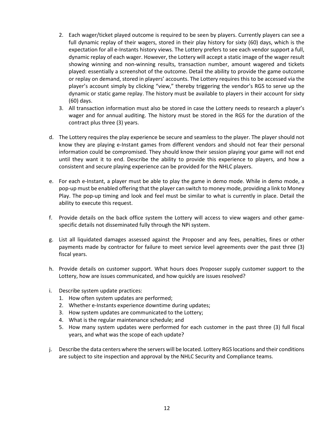- 2. Each wager/ticket played outcome is required to be seen by players. Currently players can see a full dynamic replay of their wagers, stored in their play history for sixty (60) days, which is the expectation for all e-Instants history views. The Lottery prefers to see each vendor support a full, dynamic replay of each wager. However, the Lottery will accept a static image of the wager result showing winning and non-winning results, transaction number, amount wagered and tickets played: essentially a screenshot of the outcome. Detail the ability to provide the game outcome or replay on demand, stored in players' accounts. The Lottery requires this to be accessed via the player's account simply by clicking "view," thereby triggering the vendor's RGS to serve up the dynamic or static game replay. The history must be available to players in their account for sixty (60) days.
- 3. All transaction information must also be stored in case the Lottery needs to research a player's wager and for annual auditing. The history must be stored in the RGS for the duration of the contract plus three (3) years.
- d. The Lottery requires the play experience be secure and seamless to the player. The player should not know they are playing e-Instant games from different vendors and should not fear their personal information could be compromised. They should know their session playing your game will not end until they want it to end. Describe the ability to provide this experience to players, and how a consistent and secure playing experience can be provided for the NHLC players.
- e. For each e-Instant, a player must be able to play the game in demo mode. While in demo mode, a pop-up must be enabled offering that the player can switch to money mode, providing a link to Money Play. The pop-up timing and look and feel must be similar to what is currently in place. Detail the ability to execute this request.
- f. Provide details on the back office system the Lottery will access to view wagers and other gamespecific details not disseminated fully through the NPi system.
- g. List all liquidated damages assessed against the Proposer and any fees, penalties, fines or other payments made by contractor for failure to meet service level agreements over the past three (3) fiscal years.
- h. Provide details on customer support. What hours does Proposer supply customer support to the Lottery, how are issues communicated, and how quickly are issues resolved?
- i. Describe system update practices:
	- 1. How often system updates are performed;
	- 2. Whether e-Instants experience downtime during updates;
	- 3. How system updates are communicated to the Lottery;
	- 4. What is the regular maintenance schedule; and
	- 5. How many system updates were performed for each customer in the past three (3) full fiscal years, and what was the scope of each update?
- j. Describe the data centers where the servers will be located. Lottery RGS locations and their conditions are subject to site inspection and approval by the NHLC Security and Compliance teams.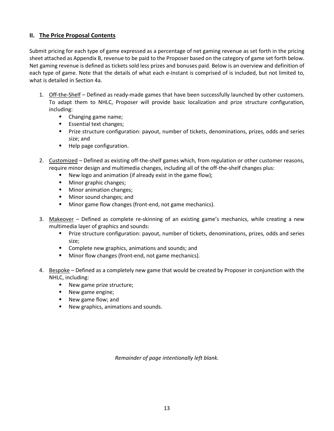## **II. The Price Proposal Contents**

Submit pricing for each type of game expressed as a percentage of net gaming revenue as set forth in the pricing sheet attached as Appendix B, revenue to be paid to the Proposer based on the category of game set forth below. Net gaming revenue is defined as tickets sold less prizes and bonuses paid. Below is an overview and definition of each type of game. Note that the details of what each e-Instant is comprised of is included, but not limited to, what is detailed in Section 4a.

- 1. Off-the-Shelf Defined as ready-made games that have been successfully launched by other customers. To adapt them to NHLC, Proposer will provide basic localization and prize structure configuration, including:
	- **EXED:** Changing game name;
	- **Essential text changes;**
	- Prize structure configuration: payout, number of tickets, denominations, prizes, odds and series size; and
	- **Help page configuration.**
- 2. Customized Defined as existing off-the-shelf games which, from regulation or other customer reasons, require minor design and multimedia changes, including all of the off-the-shelf changes plus:
	- New logo and animation (if already exist in the game flow);
	- **Minor graphic changes;**
	- **Minor animation changes;**
	- **Minor sound changes; and**
	- **Minor game flow changes (front-end, not game mechanics).**
- 3. Makeover Defined as complete re-skinning of an existing game's mechanics, while creating a new multimedia layer of graphics and sounds:
	- Prize structure configuration: payout, number of tickets, denominations, prizes, odds and series size;
	- **EXTERC** Complete new graphics, animations and sounds; and
	- **Minor flow changes (front-end, not game mechanics).**
- 4. Bespoke Defined as a completely new game that would be created by Proposer in conjunction with the NHLC, including:
	- New game prize structure;
	- New game engine;
	- New game flow; and
	- **New graphics, animations and sounds.**

*Remainder of page intentionally left blank.*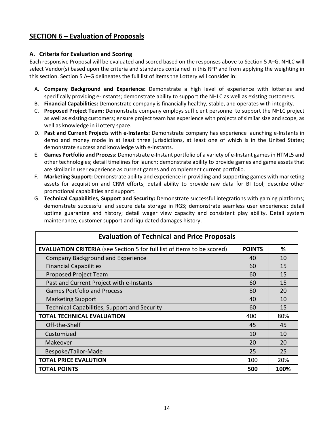# **SECTION 6 – Evaluation of Proposals**

# **A. Criteria for Evaluation and Scoring**

Each responsive Proposal will be evaluated and scored based on the responses above to Section 5 A–G. NHLC will select Vendor(s) based upon the criteria and standards contained in this RFP and from applying the weighting in this section. Section 5 A–G delineates the full list of items the Lottery will consider in:

- A. **Company Background and Experience:** Demonstrate a high level of experience with lotteries and specifically providing e-Instants; demonstrate ability to support the NHLC as well as existing customers.
- B. **Financial Capabilities:** Demonstrate company is financially healthy, stable, and operates with integrity.
- C. **Proposed Project Team:** Demonstrate company employs sufficient personnel to support the NHLC project as well as existing customers; ensure project team has experience with projects of similar size and scope, as well as knowledge in iLottery space.
- D. **Past and Current Projects with e-Instants:** Demonstrate company has experience launching e-Instants in demo and money mode in at least three jurisdictions, at least one of which is in the United States; demonstrate success and knowledge with e-Instants.
- E. **Games Portfolio and Process:** Demonstrate e-Instant portfolio of a variety of e-Instant games in HTML5 and other technologies; detail timelines for launch; demonstrate ability to provide games and game assets that are similar in user experience as current games and complement current portfolio.
- F. **Marketing Support:** Demonstrate ability and experience in providing and supporting games with marketing assets for acquisition and CRM efforts; detail ability to provide raw data for BI tool; describe other promotional capabilities and support.
- G. **Technical Capabilities, Support and Security:** Demonstrate successful integrations with gaming platforms; demonstrate successful and secure data storage in RGS; demonstrate seamless user experience; detail uptime guarantee and history; detail wager view capacity and consistent play ability. Detail system maintenance, customer support and liquidated damages history.

| <b>Evaluation of Technical and Price Proposals</b>                             |    |      |  |
|--------------------------------------------------------------------------------|----|------|--|
| <b>EVALUATION CRITERIA</b> (see Section 5 for full list of items to be scored) |    | ℅    |  |
| <b>Company Background and Experience</b>                                       |    | 10   |  |
| <b>Financial Capabilities</b>                                                  |    | 15   |  |
| <b>Proposed Project Team</b>                                                   | 60 | 15   |  |
| Past and Current Project with e-Instants                                       | 60 | 15   |  |
| <b>Games Portfolio and Process</b>                                             | 80 | 20   |  |
| <b>Marketing Support</b>                                                       | 40 | 10   |  |
| <b>Technical Capabilities, Support and Security</b>                            | 60 | 15   |  |
| <b>TOTAL TECHNICAL EVALUATION</b>                                              |    | 80%  |  |
| Off-the-Shelf                                                                  | 45 | 45   |  |
| Customized                                                                     | 10 | 10   |  |
| Makeover                                                                       | 20 | 20   |  |
| Bespoke/Tailor-Made                                                            | 25 | 25   |  |
| <b>TOTAL PRICE EVALUTION</b>                                                   |    | 20%  |  |
| <b>TOTAL POINTS</b>                                                            |    | 100% |  |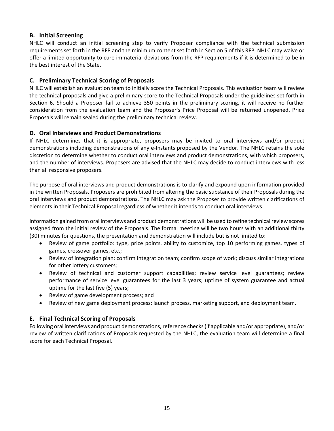# **B. Initial Screening**

NHLC will conduct an initial screening step to verify Proposer compliance with the technical submission requirements set forth in the RFP and the minimum content set forth in Section 5 of this RFP. NHLC may waive or offer a limited opportunity to cure immaterial deviations from the RFP requirements if it is determined to be in the best interest of the State.

# **C. Preliminary Technical Scoring of Proposals**

NHLC will establish an evaluation team to initially score the Technical Proposals. This evaluation team will review the technical proposals and give a preliminary score to the Technical Proposals under the guidelines set forth in Section 6. Should a Proposer fail to achieve 350 points in the preliminary scoring, it will receive no further consideration from the evaluation team and the Proposer's Price Proposal will be returned unopened. Price Proposals will remain sealed during the preliminary technical review.

# **D. Oral Interviews and Product Demonstrations**

If NHLC determines that it is appropriate, proposers may be invited to oral interviews and/or product demonstrations including demonstrations of any e-Instants proposed by the Vendor. The NHLC retains the sole discretion to determine whether to conduct oral interviews and product demonstrations, with which proposers, and the number of interviews. Proposers are advised that the NHLC may decide to conduct interviews with less than all responsive proposers.

The purpose of oral interviews and product demonstrations is to clarify and expound upon information provided in the written Proposals. Proposers are prohibited from altering the basic substance of their Proposals during the oral interviews and product demonstrations. The NHLC may ask the Proposer to provide written clarifications of elements in their Technical Proposal regardless of whether it intends to conduct oral interviews.

Information gained from oral interviews and product demonstrations will be used to refine technical review scores assigned from the initial review of the Proposals. The formal meeting will be two hours with an additional thirty (30) minutes for questions, the presentation and demonstration will include but is not limited to:

- Review of game portfolio: type, price points, ability to customize, top 10 performing games, types of games, crossover games, etc.;
- Review of integration plan: confirm integration team; confirm scope of work; discuss similar integrations for other lottery customers;
- Review of technical and customer support capabilities; review service level guarantees; review performance of service level guarantees for the last 3 years; uptime of system guarantee and actual uptime for the last five (5) years;
- Review of game development process; and
- Review of new game deployment process: launch process, marketing support, and deployment team.

# **E. Final Technical Scoring of Proposals**

Following oral interviews and product demonstrations, reference checks (if applicable and/or appropriate), and/or review of written clarifications of Proposals requested by the NHLC, the evaluation team will determine a final score for each Technical Proposal.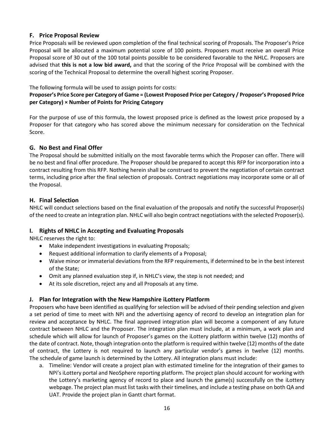# **F. Price Proposal Review**

Price Proposals will be reviewed upon completion of the final technical scoring of Proposals. The Proposer's Price Proposal will be allocated a maximum potential score of 100 points. Proposers must receive an overall Price Proposal score of 30 out of the 100 total points possible to be considered favorable to the NHLC. Proposers are advised that **this is not a low bid award,** and that the scoring of the Price Proposal will be combined with the scoring of the Technical Proposal to determine the overall highest scoring Proposer.

The following formula will be used to assign points for costs:

# **Proposer's Price Score per Category of Game = (Lowest Proposed Price per Category / Proposer's Proposed Price per Category) × Number of Points for Pricing Category**

For the purpose of use of this formula, the lowest proposed price is defined as the lowest price proposed by a Proposer for that category who has scored above the minimum necessary for consideration on the Technical Score.

## **G. No Best and Final Offer**

The Proposal should be submitted initially on the most favorable terms which the Proposer can offer. There will be no best and final offer procedure. The Proposer should be prepared to accept this RFP for incorporation into a contract resulting from this RFP. Nothing herein shall be construed to prevent the negotiation of certain contract terms, including price after the final selection of proposals. Contract negotiations may incorporate some or all of the Proposal.

# **H. Final Selection**

NHLC will conduct selections based on the final evaluation of the proposals and notify the successful Proposer(s) of the need to create an integration plan. NHLC will also begin contract negotiations with the selected Proposer(s).

# **I. Rights of NHLC in Accepting and Evaluating Proposals**

NHLC reserves the right to:

- Make independent investigations in evaluating Proposals;
- Request additional information to clarify elements of a Proposal;
- Waive minor or immaterial deviations from the RFP requirements, if determined to be in the best interest of the State;
- Omit any planned evaluation step if, in NHLC's view, the step is not needed; and
- At its sole discretion, reject any and all Proposals at any time.

# **J. Plan for Integration with the New Hampshire iLottery Platform**

Proposers who have been identified as qualifying for selection will be advised of their pending selection and given a set period of time to meet with NPi and the advertising agency of record to develop an integration plan for review and acceptance by NHLC. The final approved integration plan will become a component of any future contract between NHLC and the Proposer. The integration plan must include, at a minimum, a work plan and schedule which will allow for launch of Proposer's games on the iLottery platform within twelve (12) months of the date of contract. Note, though integration onto the platform is required within twelve (12) months of the date of contract, the Lottery is not required to launch any particular vendor's games in twelve (12) months. The schedule of game launch is determined by the Lottery. All integration plans must include:

a. Timeline: Vendor will create a project plan with estimated timeline for the integration of their games to NPi's iLottery portal and NeoSphere reporting platform. The project plan should account for working with the Lottery's marketing agency of record to place and launch the game(s) successfully on the iLottery webpage. The project plan must list tasks with their timelines, and include a testing phase on both QA and UAT. Provide the project plan in Gantt chart format.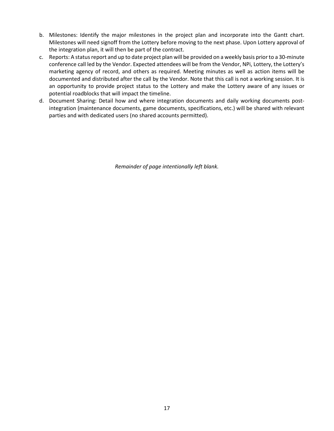- b. Milestones: Identify the major milestones in the project plan and incorporate into the Gantt chart. Milestones will need signoff from the Lottery before moving to the next phase. Upon Lottery approval of the integration plan, it will then be part of the contract.
- c. Reports: A status report and up to date project plan will be provided on a weekly basis prior to a 30-minute conference call led by the Vendor. Expected attendees will be from the Vendor, NPi, Lottery, the Lottery's marketing agency of record, and others as required. Meeting minutes as well as action items will be documented and distributed after the call by the Vendor. Note that this call is not a working session. It is an opportunity to provide project status to the Lottery and make the Lottery aware of any issues or potential roadblocks that will impact the timeline.
- d. Document Sharing: Detail how and where integration documents and daily working documents postintegration (maintenance documents, game documents, specifications, etc.) will be shared with relevant parties and with dedicated users (no shared accounts permitted).

*Remainder of page intentionally left blank.*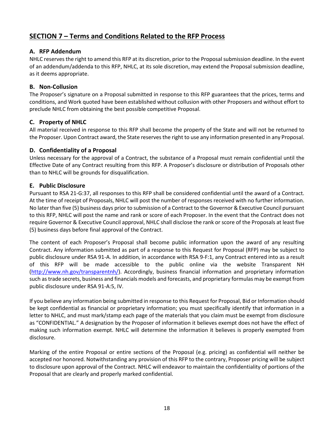# **SECTION 7 – Terms and Conditions Related to the RFP Process**

# **A. RFP Addendum**

NHLC reserves the right to amend this RFP at its discretion, prior to the Proposal submission deadline. In the event of an addendum/addenda to this RFP, NHLC, at its sole discretion, may extend the Proposal submission deadline, as it deems appropriate.

# **B. Non-Collusion**

The Proposer's signature on a Proposal submitted in response to this RFP guarantees that the prices, terms and conditions, and Work quoted have been established without collusion with other Proposers and without effort to preclude NHLC from obtaining the best possible competitive Proposal.

# **C. Property of NHLC**

All material received in response to this RFP shall become the property of the State and will not be returned to the Proposer. Upon Contract award, the State reserves the right to use any information presented in any Proposal.

# **D. Confidentiality of a Proposal**

Unless necessary for the approval of a Contract, the substance of a Proposal must remain confidential until the Effective Date of any Contract resulting from this RFP. A Proposer's disclosure or distribution of Proposals other than to NHLC will be grounds for disqualification.

# **E. Public Disclosure**

Pursuant to RSA 21-G:37, all responses to this RFP shall be considered confidential until the award of a Contract. At the time of receipt of Proposals, NHLC will post the number of responses received with no further information. No later than five (5) business days prior to submission of a Contract to the Governor & Executive Council pursuant to this RFP, NHLC will post the name and rank or score of each Proposer. In the event that the Contract does not require Governor & Executive Council approval, NHLC shall disclose the rank or score of the Proposals at least five (5) business days before final approval of the Contract.

The content of each Proposer's Proposal shall become public information upon the award of any resulting Contract. Any information submitted as part of a response to this Request for Proposal (RFP) may be subject to public disclosure under RSA 91-A. In addition, in accordance with RSA 9-F:1, any Contract entered into as a result of this RFP will be made accessible to the public online via the website Transparent NH [\(http://www.nh.gov/transparentnh/\)](http://www.nh.gov/transparentnh/). Accordingly, business financial information and proprietary information such as trade secrets, business and financials models and forecasts, and proprietary formulas may be exempt from public disclosure under RSA 91-A:5, IV.

If you believe any information being submitted in response to this Request for Proposal, Bid or Information should be kept confidential as financial or proprietary information; you must specifically identify that information in a letter to NHLC, and must mark/stamp each page of the materials that you claim must be exempt from disclosure as "CONFIDENTIAL." A designation by the Proposer of information it believes exempt does not have the effect of making such information exempt. NHLC will determine the information it believes is properly exempted from disclosure.

Marking of the entire Proposal or entire sections of the Proposal (e.g. pricing) as confidential will neither be accepted nor honored. Notwithstanding any provision of this RFP to the contrary, Proposer pricing will be subject to disclosure upon approval of the Contract. NHLC will endeavor to maintain the confidentiality of portions of the Proposal that are clearly and properly marked confidential.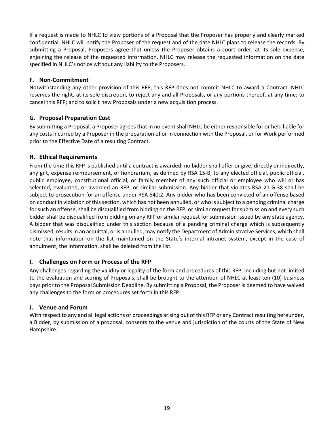If a request is made to NHLC to view portions of a Proposal that the Proposer has properly and clearly marked confidential, NHLC will notify the Proposer of the request and of the date NHLC plans to release the records. By submitting a Proposal, Proposers agree that unless the Proposer obtains a court order, at its sole expense, enjoining the release of the requested information, NHLC may release the requested information on the date specified in NHLC's notice without any liability to the Proposers.

# **F. Non-Commitment**

Notwithstanding any other provision of this RFP, this RFP does not commit NHLC to award a Contract. NHLC reserves the right, at its sole discretion, to reject any and all Proposals, or any portions thereof, at any time; to cancel this RFP; and to solicit new Proposals under a new acquisition process.

# **G. Proposal Preparation Cost**

By submitting a Proposal, a Proposer agrees that in no event shall NHLC be either responsible for or held liable for any costs incurred by a Proposer in the preparation of or in connection with the Proposal, or for Work performed prior to the Effective Date of a resulting Contract.

# **H. Ethical Requirements**

From the time this RFP is published until a contract is awarded, no bidder shall offer or give, directly or indirectly, any gift, expense reimbursement, or honorarium, as defined by RSA 15-B, to any elected official, public official, public employee, constitutional official, or family member of any such official or employee who will or has selected, evaluated, or awarded an RFP, or similar submission. Any bidder that violates RSA 21-G:38 shall be subject to prosecution for an offense under RSA 640:2. Any bidder who has been convicted of an offense based on conduct in violation of this section, which has not been annulled, or who is subject to a pending criminal charge for such an offense, shall be disqualified from bidding on the RFP, or similar request for submission and every such bidder shall be disqualified from bidding on any RFP or similar request for submission issued by any state agency. A bidder that was disqualified under this section because of a pending criminal charge which is subsequently dismissed, results in an acquittal, or is annulled, may notify the Department of Administrative Services, which shall note that information on the list maintained on the State's internal intranet system, except in the case of annulment, the information, shall be deleted from the list.

# **I. Challenges on Form or Process of the RFP**

Any challenges regarding the validity or legality of the form and procedures of this RFP, including but not limited to the evaluation and scoring of Proposals, shall be brought to the attention of NHLC at least ten (10) business days prior to the Proposal Submission Deadline. By submitting a Proposal, the Proposer is deemed to have waived any challenges to the form or procedures set forth in this RFP.

## **J. Venue and Forum**

With respect to any and all legal actions or proceedings arising out of this RFP or any Contract resulting hereunder, a Bidder, by submission of a proposal, consents to the venue and jurisdiction of the courts of the State of New Hampshire.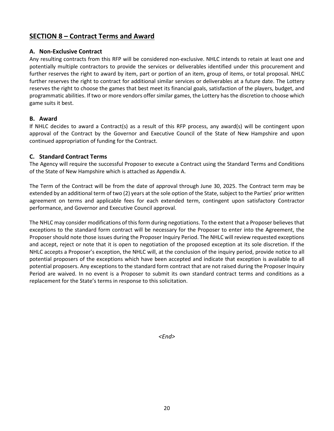# **SECTION 8 – Contract Terms and Award**

### **A. Non-Exclusive Contract**

Any resulting contracts from this RFP will be considered non-exclusive. NHLC intends to retain at least one and potentially multiple contractors to provide the services or deliverables identified under this procurement and further reserves the right to award by item, part or portion of an item, group of items, or total proposal. NHLC further reserves the right to contract for additional similar services or deliverables at a future date. The Lottery reserves the right to choose the games that best meet its financial goals, satisfaction of the players, budget, and programmatic abilities. If two or more vendors offer similar games, the Lottery has the discretion to choose which game suits it best.

#### **B. Award**

If NHLC decides to award a Contract(s) as a result of this RFP process, any award(s) will be contingent upon approval of the Contract by the Governor and Executive Council of the State of New Hampshire and upon continued appropriation of funding for the Contract.

#### **C. Standard Contract Terms**

The Agency will require the successful Proposer to execute a Contract using the Standard Terms and Conditions of the State of New Hampshire which is attached as Appendix A.

The Term of the Contract will be from the date of approval through June 30, 2025. The Contract term may be extended by an additional term of two (2) years at the sole option of the State, subject to the Parties' prior written agreement on terms and applicable fees for each extended term, contingent upon satisfactory Contractor performance, and Governor and Executive Council approval.

The NHLC may consider modifications of this form during negotiations. To the extent that a Proposer believes that exceptions to the standard form contract will be necessary for the Proposer to enter into the Agreement, the Proposer should note those issues during the Proposer Inquiry Period. The NHLC will review requested exceptions and accept, reject or note that it is open to negotiation of the proposed exception at its sole discretion. If the NHLC accepts a Proposer's exception, the NHLC will, at the conclusion of the inquiry period, provide notice to all potential proposers of the exceptions which have been accepted and indicate that exception is available to all potential proposers. Any exceptions to the standard form contract that are not raised during the Proposer Inquiry Period are waived. In no event is a Proposer to submit its own standard contract terms and conditions as a replacement for the State's terms in response to this solicitation.

*<End>*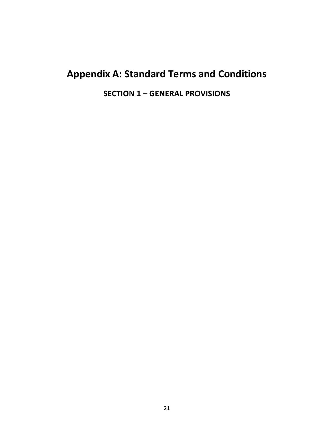# **Appendix A: Standard Terms and Conditions**

**SECTION 1 – GENERAL PROVISIONS**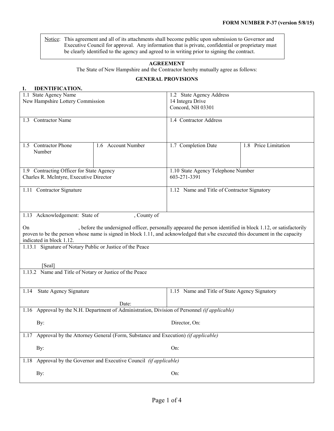Notice: This agreement and all of its attachments shall become public upon submission to Governor and Executive Council for approval. Any information that is private, confidential or proprietary must be clearly identified to the agency and agreed to in writing prior to signing the contract.

#### **AGREEMENT**

The State of New Hampshire and the Contractor hereby mutually agree as follows:

#### **GENERAL PROVISIONS**

| 1.<br><b>IDENTIFICATION.</b>                                                                  |                                                                                                                               |                                               |                      |  |
|-----------------------------------------------------------------------------------------------|-------------------------------------------------------------------------------------------------------------------------------|-----------------------------------------------|----------------------|--|
| 1.1 State Agency Name                                                                         |                                                                                                                               | 1.2 State Agency Address                      |                      |  |
| New Hampshire Lottery Commission                                                              |                                                                                                                               | 14 Integra Drive                              |                      |  |
|                                                                                               |                                                                                                                               | Concord, NH 03301                             |                      |  |
| 1.3 Contractor Name                                                                           |                                                                                                                               |                                               |                      |  |
|                                                                                               |                                                                                                                               | 1.4 Contractor Address                        |                      |  |
|                                                                                               |                                                                                                                               |                                               |                      |  |
|                                                                                               |                                                                                                                               |                                               |                      |  |
| 1.5 Contractor Phone                                                                          | 1.6 Account Number                                                                                                            | 1.7 Completion Date                           | 1.8 Price Limitation |  |
| Number                                                                                        |                                                                                                                               |                                               |                      |  |
|                                                                                               |                                                                                                                               |                                               |                      |  |
|                                                                                               |                                                                                                                               |                                               |                      |  |
| 1.9 Contracting Officer for State Agency                                                      |                                                                                                                               | 1.10 State Agency Telephone Number            |                      |  |
| Charles R. McIntyre, Executive Director                                                       |                                                                                                                               | 603-271-3391                                  |                      |  |
| 1.11 Contractor Signature                                                                     |                                                                                                                               | 1.12 Name and Title of Contractor Signatory   |                      |  |
|                                                                                               |                                                                                                                               |                                               |                      |  |
|                                                                                               |                                                                                                                               |                                               |                      |  |
|                                                                                               |                                                                                                                               |                                               |                      |  |
| 1.13 Acknowledgement: State of<br>, County of                                                 |                                                                                                                               |                                               |                      |  |
|                                                                                               |                                                                                                                               |                                               |                      |  |
| On                                                                                            | , before the undersigned officer, personally appeared the person identified in block 1.12, or satisfactorily                  |                                               |                      |  |
| indicated in block 1.12.                                                                      | proven to be the person whose name is signed in block 1.11, and acknowledged that s/he executed this document in the capacity |                                               |                      |  |
| 1.13.1 Signature of Notary Public or Justice of the Peace                                     |                                                                                                                               |                                               |                      |  |
|                                                                                               |                                                                                                                               |                                               |                      |  |
|                                                                                               |                                                                                                                               |                                               |                      |  |
| [Seal]                                                                                        |                                                                                                                               |                                               |                      |  |
| 1.13.2 Name and Title of Notary or Justice of the Peace                                       |                                                                                                                               |                                               |                      |  |
|                                                                                               |                                                                                                                               |                                               |                      |  |
|                                                                                               |                                                                                                                               |                                               |                      |  |
| State Agency Signature<br>1.14                                                                |                                                                                                                               | 1.15 Name and Title of State Agency Signatory |                      |  |
|                                                                                               | Date:                                                                                                                         |                                               |                      |  |
| 1.16 Approval by the N.H. Department of Administration, Division of Personnel (if applicable) |                                                                                                                               |                                               |                      |  |
|                                                                                               |                                                                                                                               |                                               |                      |  |
| By:                                                                                           |                                                                                                                               | Director, On:                                 |                      |  |
|                                                                                               |                                                                                                                               |                                               |                      |  |
| 1.17 Approval by the Attorney General (Form, Substance and Execution) (if applicable)         |                                                                                                                               |                                               |                      |  |
|                                                                                               |                                                                                                                               |                                               |                      |  |
| By:                                                                                           |                                                                                                                               | On:                                           |                      |  |
| 1.18 Approval by the Governor and Executive Council (if applicable)                           |                                                                                                                               |                                               |                      |  |
|                                                                                               |                                                                                                                               |                                               |                      |  |
| By:                                                                                           |                                                                                                                               | On:                                           |                      |  |
|                                                                                               |                                                                                                                               |                                               |                      |  |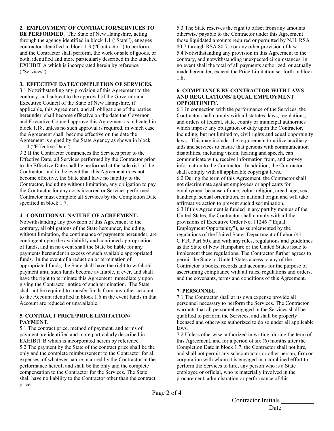#### **2. EMPLOYMENT OF CONTRACTOR/SERVICES TO**

**BE PERFORMED.** The State of New Hampshire, acting through the agency identified in block 1.1 ("State"), engages contractor identified in block 1.3 ("Contractor") to perform, and the Contractor shall perform, the work or sale of goods, or both, identified and more particularly described in the attached EXHIBIT A which is incorporated herein by reference ("Services").

#### **3. EFFECTIVE DATE/COMPLETION OF SERVICES.**

3.1 Notwithstanding any provision of this Agreement to the contrary, and subject to the approval of the Governor and Executive Council of the State of New Hampshire, if applicable, this Agreement, and all obligations of the parties hereunder, shall become effective on the date the Governor and Executive Council approve this Agreement as indicated in block 1.18, unless no such approval is required, in which case the Agreement shall become effective on the date the Agreement is signed by the State Agency as shown in block 1.14 ("Effective Date").

3.2 If the Contractor commences the Services prior to the Effective Date, all Services performed by the Contractor prior to the Effective Date shall be performed at the sole risk of the Contractor, and in the event that this Agreement does not become effective, the State shall have no liability to the Contractor, including without limitation, any obligation to pay the Contractor for any costs incurred or Services performed. Contractor must complete all Services by the Completion Date specified in block 1.7.

#### **4. CONDITIONAL NATURE OF AGREEMENT.**

Notwithstanding any provision of this Agreement to the contrary, all obligations of the State hereunder, including, without limitation, the continuance of payments hereunder, are contingent upon the availability and continued appropriation of funds, and in no event shall the State be liable for any payments hereunder in excess of such available appropriated funds. In the event of a reduction or termination of appropriated funds, the State shall have the right to withhold payment until such funds become available, if ever, and shall have the right to terminate this Agreement immediately upon giving the Contractor notice of such termination. The State shall not be required to transfer funds from any other account to the Account identified in block 1.6 in the event funds in that Account are reduced or unavailable.

#### **5. CONTRACT PRICE/PRICE LIMITATION/ PAYMENT.**

5.1 The contract price, method of payment, and terms of payment are identified and more particularly described in EXHIBIT B which is incorporated herein by reference. 5.2 The payment by the State of the contract price shall be the only and the complete reimbursement to the Contractor for all expenses, of whatever nature incurred by the Contractor in the performance hereof, and shall be the only and the complete compensation to the Contractor for the Services. The State shall have no liability to the Contractor other than the contract price.

5.3 The State reserves the right to offset from any amounts otherwise payable to the Contractor under this Agreement those liquidated amounts required or permitted by N.H. RSA 80:7 through RSA 80:7-c or any other provision of law. 5.4 Notwithstanding any provision in this Agreement to the contrary, and notwithstanding unexpected circumstances, in no event shall the total of all payments authorized, or actually made hereunder, exceed the Price Limitation set forth in block 1.8.

#### **6. COMPLIANCE BY CONTRACTOR WITH LAWS AND REGULATIONS/ EQUAL EMPLOYMENT OPPORTUNITY.**

6.1 In connection with the performance of the Services, the Contractor shall comply with all statutes, laws, regulations, and orders of federal, state, county or municipal authorities which impose any obligation or duty upon the Contractor, including, but not limited to, civil rights and equal opportunity laws. This may include the requirement to utilize auxiliary aids and services to ensure that persons with communication disabilities, including vision, hearing and speech, can communicate with, receive information from, and convey information to the Contractor. In addition, the Contractor shall comply with all applicable copyright laws. 6.2 During the term of this Agreement, the Contractor shall not discriminate against employees or applicants for employment because of race, color, religion, creed, age, sex, handicap, sexual orientation, or national origin and will take affirmative action to prevent such discrimination. 6.3 If this Agreement is funded in any part by monies of the United States, the Contractor shall comply with all the provisions of Executive Order No. 11246 ("Equal Employment Opportunity"), as supplemented by the regulations of the United States Department of Labor (41 C.F.R. Part 60), and with any rules, regulations and guidelines as the State of New Hampshire or the United States issue to implement these regulations. The Contractor further agrees to permit the State or United States access to any of the Contractor's books, records and accounts for the purpose of ascertaining compliance with all rules, regulations and orders, and the covenants, terms and conditions of this Agreement.

#### **7. PERSONNEL.**

7.1 The Contractor shall at its own expense provide all personnel necessary to perform the Services. The Contractor warrants that all personnel engaged in the Services shall be qualified to perform the Services, and shall be properly licensed and otherwise authorized to do so under all applicable laws.

7.2 Unless otherwise authorized in writing, during the term of this Agreement, and for a period of six (6) months after the Completion Date in block 1.7, the Contractor shall not hire, and shall not permit any subcontractor or other person, firm or corporation with whom it is engaged in a combined effort to perform the Services to hire, any person who is a State employee or official, who is materially involved in the procurement, administration or performance of this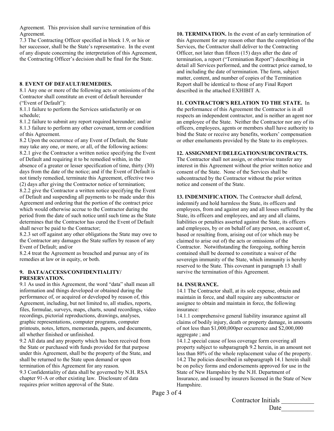Agreement. This provision shall survive termination of this Agreement.

7.3 The Contracting Officer specified in block 1.9, or his or her successor, shall be the State's representative. In the event of any dispute concerning the interpretation of this Agreement, the Contracting Officer's decision shall be final for the State.

#### **8**. **EVENT OF DEFAULT/REMEDIES.**

8.1 Any one or more of the following acts or omissions of the Contractor shall constitute an event of default hereunder ("Event of Default"):

8.1.1 failure to perform the Services satisfactorily or on schedule;

8.1.2 failure to submit any report required hereunder; and/or 8.1.3 failure to perform any other covenant, term or condition of this Agreement.

8.2 Upon the occurrence of any Event of Default, the State may take any one, or more, or all, of the following actions: 8.2.1 give the Contractor a written notice specifying the Event of Default and requiring it to be remedied within, in the absence of a greater or lesser specification of time, thirty (30) days from the date of the notice; and if the Event of Default is not timely remedied, terminate this Agreement, effective two

(2) days after giving the Contractor notice of termination; 8.2.2 give the Contractor a written notice specifying the Event

of Default and suspending all payments to be made under this Agreement and ordering that the portion of the contract price which would otherwise accrue to the Contractor during the period from the date of such notice until such time as the State determines that the Contractor has cured the Event of Default shall never be paid to the Contractor;

8.2.3 set off against any other obligations the State may owe to the Contractor any damages the State suffers by reason of any Event of Default; and/or

8.2.4 treat the Agreement as breached and pursue any of its remedies at law or in equity, or both.

#### **9. DATA/ACCESS/CONFIDENTIALITY/ PRESERVATION.**

9.1 As used in this Agreement, the word "data" shall mean all information and things developed or obtained during the performance of, or acquired or developed by reason of, this Agreement, including, but not limited to, all studies, reports, files, formulae, surveys, maps, charts, sound recordings, video recordings, pictorial reproductions, drawings, analyses, graphic representations, computer programs, computer printouts, notes, letters, memoranda, papers, and documents, all whether finished or unfinished.

9.2 All data and any property which has been received from the State or purchased with funds provided for that purpose under this Agreement, shall be the property of the State, and shall be returned to the State upon demand or upon termination of this Agreement for any reason. 9.3 Confidentiality of data shall be governed by N.H. RSA chapter 91-A or other existing law. Disclosure of data requires prior written approval of the State.

**10. TERMINATION.** In the event of an early termination of this Agreement for any reason other than the completion of the Services, the Contractor shall deliver to the Contracting Officer, not later than fifteen (15) days after the date of termination, a report ("Termination Report") describing in detail all Services performed, and the contract price earned, to and including the date of termination. The form, subject matter, content, and number of copies of the Termination Report shall be identical to those of any Final Report described in the attached EXHIBIT A.

#### **11. CONTRACTOR'S RELATION TO THE STATE.** In

the performance of this Agreement the Contractor is in all respects an independent contractor, and is neither an agent nor an employee of the State. Neither the Contractor nor any of its officers, employees, agents or members shall have authority to bind the State or receive any benefits, workers' compensation or other emoluments provided by the State to its employees.

#### **12. ASSIGNMENT/DELEGATION/SUBCONTRACTS.**

The Contractor shall not assign, or otherwise transfer any interest in this Agreement without the prior written notice and consent of the State. None of the Services shall be subcontracted by the Contractor without the prior written notice and consent of the State.

**13. INDEMNIFICATION.** The Contractor shall defend, indemnify and hold harmless the State, its officers and employees, from and against any and all losses suffered by the State, its officers and employees, and any and all claims, liabilities or penalties asserted against the State, its officers and employees, by or on behalf of any person, on account of, based or resulting from, arising out of (or which may be claimed to arise out of) the acts or omissions of the Contractor. Notwithstanding the foregoing, nothing herein contained shall be deemed to constitute a waiver of the sovereign immunity of the State, which immunity is hereby reserved to the State. This covenant in paragraph 13 shall survive the termination of this Agreement.

#### **14. INSURANCE.**

14.1 The Contractor shall, at its sole expense, obtain and maintain in force, and shall require any subcontractor or assignee to obtain and maintain in force, the following insurance:

14.1.1 comprehensive general liability insurance against all claims of bodily injury, death or property damage, in amounts of not less than \$1,000,000per occurrence and \$2,000,000 aggregate ; and

14.1.2 special cause of loss coverage form covering all property subject to subparagraph 9.2 herein, in an amount not less than 80% of the whole replacement value of the property. 14.2 The policies described in subparagraph 14.1 herein shall be on policy forms and endorsements approved for use in the State of New Hampshire by the N.H. Department of Insurance, and issued by insurers licensed in the State of New Hampshire.

Page 3 of 4

Contractor Initials Date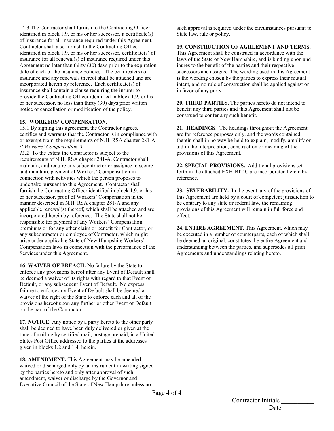14.3 The Contractor shall furnish to the Contracting Officer identified in block 1.9, or his or her successor, a certificate(s) of insurance for all insurance required under this Agreement. Contractor shall also furnish to the Contracting Officer identified in block 1.9, or his or her successor, certificate(s) of insurance for all renewal(s) of insurance required under this Agreement no later than thirty (30) days prior to the expiration date of each of the insurance policies. The certificate(s) of insurance and any renewals thereof shall be attached and are incorporated herein by reference. Each certificate(s) of insurance shall contain a clause requiring the insurer to provide the Contracting Officer identified in block 1.9, or his or her successor, no less than thirty (30) days prior written notice of cancellation or modification of the policy.

#### **15. WORKERS' COMPENSATION.**

15.1 By signing this agreement, the Contractor agrees, certifies and warrants that the Contractor is in compliance with or exempt from, the requirements of N.H. RSA chapter 281-A *("Workers' Compensation")*.

*15.2* To the extent the Contractor is subject to the requirements of N.H. RSA chapter 281-A, Contractor shall maintain, and require any subcontractor or assignee to secure and maintain, payment of Workers' Compensation in connection with activities which the person proposes to undertake pursuant to this Agreement. Contractor shall furnish the Contracting Officer identified in block 1.9, or his or her successor, proof of Workers' Compensation in the manner described in N.H. RSA chapter 281-A and any applicable renewal(s) thereof, which shall be attached and are incorporated herein by reference. The State shall not be responsible for payment of any Workers' Compensation premiums or for any other claim or benefit for Contractor, or any subcontractor or employee of Contractor, which might arise under applicable State of New Hampshire Workers' Compensation laws in connection with the performance of the Services under this Agreement.

**16**. **WAIVER OF BREACH.** No failure by the State to enforce any provisions hereof after any Event of Default shall be deemed a waiver of its rights with regard to that Event of Default, or any subsequent Event of Default. No express failure to enforce any Event of Default shall be deemed a waiver of the right of the State to enforce each and all of the provisions hereof upon any further or other Event of Default on the part of the Contractor.

**17. NOTICE.** Any notice by a party hereto to the other party shall be deemed to have been duly delivered or given at the time of mailing by certified mail, postage prepaid, in a United States Post Office addressed to the parties at the addresses given in blocks 1.2 and 1.4, herein.

**18. AMENDMENT.** This Agreement may be amended, waived or discharged only by an instrument in writing signed by the parties hereto and only after approval of such amendment, waiver or discharge by the Governor and Executive Council of the State of New Hampshire unless no

such approval is required under the circumstances pursuant to State law, rule or policy.

#### **19. CONSTRUCTION OF AGREEMENT AND TERMS.**

This Agreement shall be construed in accordance with the laws of the State of New Hampshire, and is binding upon and inures to the benefit of the parties and their respective successors and assigns. The wording used in this Agreement is the wording chosen by the parties to express their mutual intent, and no rule of construction shall be applied against or in favor of any party.

**20. THIRD PARTIES.** The parties hereto do not intend to benefit any third parties and this Agreement shall not be construed to confer any such benefit.

**21. HEADINGS**. The headings throughout the Agreement are for reference purposes only, and the words contained therein shall in no way be held to explain, modify, amplify or aid in the interpretation, construction or meaning of the provisions of this Agreement.

**22. SPECIAL PROVISIONS.** Additional provisions set forth in the attached EXHIBIT C are incorporated herein by reference.

**23. SEVERABILITY.** In the event any of the provisions of this Agreement are held by a court of competent jurisdiction to be contrary to any state or federal law, the remaining provisions of this Agreement will remain in full force and effect.

**24. ENTIRE AGREEMENT.** This Agreement, which may be executed in a number of counterparts, each of which shall be deemed an original, constitutes the entire Agreement and understanding between the parties, and supersedes all prior Agreements and understandings relating hereto.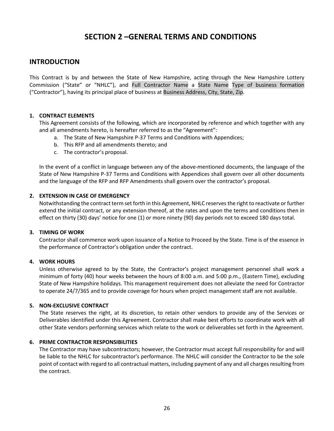# **SECTION 2 –GENERAL TERMS AND CONDITIONS**

# **INTRODUCTION**

This Contract is by and between the State of New Hampshire, acting through the New Hampshire Lottery Commission ("State" or "NHLC"), and Full Contractor Name a State Name Type of business formation ("Contractor"), having its principal place of business at Business Address, City, State, Zip.

#### **1. CONTRACT ELEMENTS**

This Agreement consists of the following, which are incorporated by reference and which together with any and all amendments hereto, is hereafter referred to as the "Agreement":

- a. The State of New Hampshire P-37 Terms and Conditions with Appendices;
- b. This RFP and all amendments thereto; and
- c. The contractor's proposal.

In the event of a conflict in language between any of the above-mentioned documents, the language of the State of New Hampshire P-37 Terms and Conditions with Appendices shall govern over all other documents and the language of the RFP and RFP Amendments shall govern over the contractor's proposal.

#### **2. EXTENSION IN CASE OF EMERGENCY**

Notwithstanding the contract term set forth in this Agreement, NHLC reserves the right to reactivate or further extend the initial contract, or any extension thereof, at the rates and upon the terms and conditions then in effect on thirty (30) days' notice for one (1) or more ninety (90) day periods not to exceed 180 days total.

#### **3. TIMING OF WORK**

Contractor shall commence work upon issuance of a Notice to Proceed by the State. Time is of the essence in the performance of Contractor's obligation under the contract.

#### **4. WORK HOURS**

Unless otherwise agreed to by the State, the Contractor's project management personnel shall work a minimum of forty (40) hour weeks between the hours of 8:00 a.m. and 5:00 p.m., (Eastern Time), excluding State of New Hampshire holidays. This management requirement does not alleviate the need for Contractor to operate 24/7/365 and to provide coverage for hours when project management staff are not available.

#### **5. NON-EXCLUSIVE CONTRACT**

The State reserves the right, at its discretion, to retain other vendors to provide any of the Services or Deliverables identified under this Agreement. Contractor shall make best efforts to coordinate work with all other State vendors performing services which relate to the work or deliverables set forth in the Agreement.

#### **6. PRIME CONTRACTOR RESPONSIBILITIES**

The Contractor may have subcontractors; however, the Contractor must accept full responsibility for and will be liable to the NHLC for subcontractor's performance. The NHLC will consider the Contractor to be the sole point of contact with regard to all contractual matters, including payment of any and all charges resulting from the contract.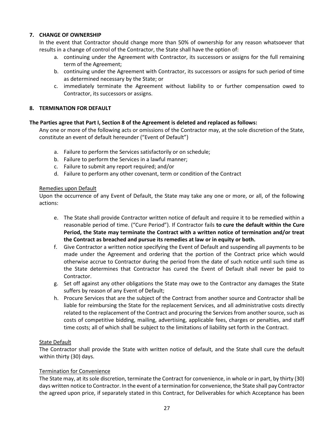## **7. CHANGE OF OWNERSHIP**

In the event that Contractor should change more than 50% of ownership for any reason whatsoever that results in a change of control of the Contractor, the State shall have the option of:

- a. continuing under the Agreement with Contractor, its successors or assigns for the full remaining term of the Agreement;
- b. continuing under the Agreement with Contractor, its successors or assigns for such period of time as determined necessary by the State; or
- c. immediately terminate the Agreement without liability to or further compensation owed to Contractor, its successors or assigns.

#### **8. TERMINATION FOR DEFAULT**

#### **The Parties agree that Part I, Section 8 of the Agreement is deleted and replaced as follows:**

Any one or more of the following acts or omissions of the Contractor may, at the sole discretion of the State, constitute an event of default hereunder ("Event of Default")

- a. Failure to perform the Services satisfactorily or on schedule;
- b. Failure to perform the Services in a lawful manner;
- c. Failure to submit any report required; and/or
- d. Failure to perform any other covenant, term or condition of the Contract

#### Remedies upon Default

Upon the occurrence of any Event of Default, the State may take any one or more, or all, of the following actions:

- e. The State shall provide Contractor written notice of default and require it to be remedied within a reasonable period of time. ("Cure Period"). If Contractor fails **to cure the default within the Cure Period, the State may terminate the Contract with a written notice of termination and/or treat the Contract as breached and pursue its remedies at law or in equity or both.**
- f. Give Contractor a written notice specifying the Event of Default and suspending all payments to be made under the Agreement and ordering that the portion of the Contract price which would otherwise accrue to Contractor during the period from the date of such notice until such time as the State determines that Contractor has cured the Event of Default shall never be paid to Contractor.
- g. Set off against any other obligations the State may owe to the Contractor any damages the State suffers by reason of any Event of Default;
- h. Procure Services that are the subject of the Contract from another source and Contractor shall be liable for reimbursing the State for the replacement Services, and all administrative costs directly related to the replacement of the Contract and procuring the Services from another source, such as costs of competitive bidding, mailing, advertising, applicable fees, charges or penalties, and staff time costs; all of which shall be subject to the limitations of liability set forth in the Contract.

#### State Default

The Contractor shall provide the State with written notice of default, and the State shall cure the default within thirty (30) days.

#### Termination for Convenience

The State may, at its sole discretion, terminate the Contract for convenience, in whole or in part, by thirty (30) days written notice to Contractor. In the event of a termination for convenience, the State shall pay Contractor the agreed upon price, if separately stated in this Contract, for Deliverables for which Acceptance has been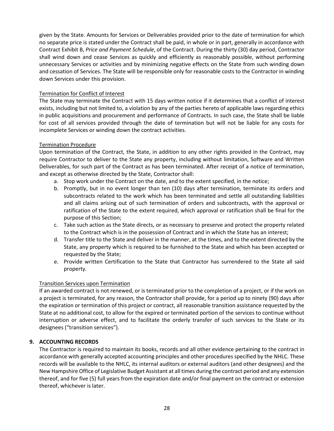given by the State. Amounts for Services or Deliverables provided prior to the date of termination for which no separate price is stated under the Contract shall be paid, in whole or in part, generally in accordance with Contract Exhibit B, *Price and Payment Schedule*, of the Contract. During the thirty (30) day period, Contractor shall wind down and cease Services as quickly and efficiently as reasonably possible, without performing unnecessary Services or activities and by minimizing negative effects on the State from such winding down and cessation of Services. The State will be responsible only for reasonable costs to the Contractor in winding down Services under this provision.

#### Termination for Conflict of Interest

The State may terminate the Contract with 15 days written notice if it determines that a conflict of interest exists, including but not limited to, a violation by any of the parties hereto of applicable laws regarding ethics in public acquisitions and procurement and performance of Contracts. In such case, the State shall be liable for cost of all services provided through the date of termination but will not be liable for any costs for incomplete Services or winding down the contract activities.

#### Termination Procedure

Upon termination of the Contract, the State, in addition to any other rights provided in the Contract, may require Contractor to deliver to the State any property, including without limitation, Software and Written Deliverables, for such part of the Contract as has been terminated. After receipt of a notice of termination, and except as otherwise directed by the State, Contractor shall:

- a. Stop work under the Contract on the date, and to the extent specified, in the notice;
- b. Promptly, but in no event longer than ten (10) days after termination, terminate its orders and subcontracts related to the work which has been terminated and settle all outstanding liabilities and all claims arising out of such termination of orders and subcontracts, with the approval or ratification of the State to the extent required, which approval or ratification shall be final for the purpose of this Section;
- c. Take such action as the State directs, or as necessary to preserve and protect the property related to the Contract which is in the possession of Contract and in which the State has an interest;
- d. Transfer title to the State and deliver in the manner, at the times, and to the extent directed by the State, any property which is required to be furnished to the State and which has been accepted or requested by the State;
- e. Provide written Certification to the State that Contractor has surrendered to the State all said property.

#### Transition Services upon Termination

If an awarded contract is not renewed, or is terminated prior to the completion of a project, or if the work on a project is terminated, for any reason, the Contractor shall provide, for a period up to ninety (90) days after the expiration or termination of this project or contract, all reasonable transition assistance requested by the State at no additional cost, to allow for the expired or terminated portion of the services to continue without interruption or adverse effect, and to facilitate the orderly transfer of such services to the State or its designees ("transition services").

#### **9. ACCOUNTING RECORDS**

The Contractor is required to maintain its books, records and all other evidence pertaining to the contract in accordance with generally accepted accounting principles and other procedures specified by the NHLC. These records will be available to the NHLC, its internal auditors or external auditors (and other designees) and the New Hampshire Office of Legislative Budget Assistant at all times during the contract period and any extension thereof, and for five (5) full years from the expiration date and/or final payment on the contract or extension thereof, whichever is later.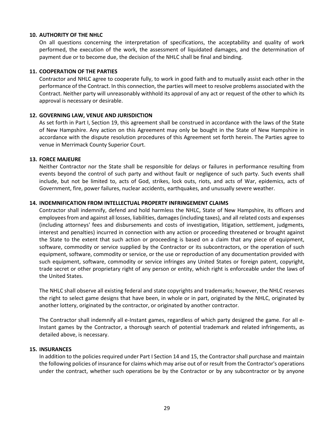#### **10. AUTHORITY OF THE NHLC**

On all questions concerning the interpretation of specifications, the acceptability and quality of work performed, the execution of the work, the assessment of liquidated damages, and the determination of payment due or to become due, the decision of the NHLC shall be final and binding.

#### **11. COOPERATION OF THE PARTIES**

Contractor and NHLC agree to cooperate fully, to work in good faith and to mutually assist each other in the performance of the Contract. In this connection, the parties will meet to resolve problems associated with the Contract. Neither party will unreasonably withhold its approval of any act or request of the other to which its approval is necessary or desirable.

#### **12. GOVERNING LAW, VENUE AND JURISDICTION**

As set forth in Part I, Section 19, this agreement shall be construed in accordance with the laws of the State of New Hampshire. Any action on this Agreement may only be bought in the State of New Hampshire in accordance with the dispute resolution procedures of this Agreement set forth herein. The Parties agree to venue in Merrimack County Superior Court.

#### **13. FORCE MAJEURE**

Neither Contractor nor the State shall be responsible for delays or failures in performance resulting from events beyond the control of such party and without fault or negligence of such party. Such events shall include, but not be limited to, acts of God, strikes, lock outs, riots, and acts of War, epidemics, acts of Government, fire, power failures, nuclear accidents, earthquakes, and unusually severe weather.

#### **14. INDEMNIFICATION FROM INTELLECTUAL PROPERTY INFRINGEMENT CLAIMS**

Contractor shall indemnify, defend and hold harmless the NHLC, State of New Hampshire, its officers and employees from and against all losses, liabilities, damages (including taxes), and all related costs and expenses (including attorneys' fees and disbursements and costs of investigation, litigation, settlement, judgments, interest and penalties) incurred in connection with any action or proceeding threatened or brought against the State to the extent that such action or proceeding is based on a claim that any piece of equipment, software, commodity or service supplied by the Contractor or its subcontractors, or the operation of such equipment, software, commodity or service, or the use or reproduction of any documentation provided with such equipment, software, commodity or service infringes any United States or foreign patent, copyright, trade secret or other proprietary right of any person or entity, which right is enforceable under the laws of the United States.

The NHLC shall observe all existing federal and state copyrights and trademarks; however, the NHLC reserves the right to select game designs that have been, in whole or in part, originated by the NHLC, originated by another lottery, originated by the contractor, or originated by another contractor.

The Contractor shall indemnify all e-Instant games, regardless of which party designed the game. For all e-Instant games by the Contractor, a thorough search of potential trademark and related infringements, as detailed above, is necessary.

#### **15. INSURANCES**

In addition to the policies required under Part I Section 14 and 15, the Contractor shall purchase and maintain the following policies of insurance for claims which may arise out of or result from the Contractor's operations under the contract, whether such operations be by the Contractor or by any subcontractor or by anyone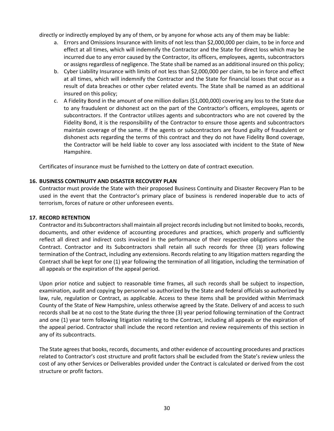directly or indirectly employed by any of them, or by anyone for whose acts any of them may be liable:

- a. Errors and Omissions Insurance with limits of not less than \$2,000,000 per claim, to be in force and effect at all times, which will indemnify the Contractor and the State for direct loss which may be incurred due to any error caused by the Contractor, its officers, employees, agents, subcontractors or assigns regardless of negligence. The State shall be named as an additional insured on this policy;
- b. Cyber Liability Insurance with limits of not less than \$2,000,000 per claim, to be in force and effect at all times, which will indemnify the Contractor and the State for financial losses that occur as a result of data breaches or other cyber related events. The State shall be named as an additional insured on this policy;
- c. A Fidelity Bond in the amount of one million dollars (\$1,000,000) covering any loss to the State due to any fraudulent or dishonest act on the part of the Contractor's officers, employees, agents or subcontractors. If the Contractor utilizes agents and subcontractors who are not covered by the Fidelity Bond, it is the responsibility of the Contractor to ensure those agents and subcontractors maintain coverage of the same. If the agents or subcontractors are found guilty of fraudulent or dishonest acts regarding the terms of this contract and they do not have Fidelity Bond coverage, the Contractor will be held liable to cover any loss associated with incident to the State of New Hampshire.

Certificates of insurance must be furnished to the Lottery on date of contract execution.

#### **16. BUSINESS CONTINUITY AND DISASTER RECOVERY PLAN**

Contractor must provide the State with their proposed Business Continuity and Disaster Recovery Plan to be used in the event that the Contractor's primary place of business is rendered inoperable due to acts of terrorism, forces of nature or other unforeseen events.

#### **17. RECORD RETENTION**

Contractor and its Subcontractors shall maintain all project records including but not limited to books, records, documents, and other evidence of accounting procedures and practices, which properly and sufficiently reflect all direct and indirect costs invoiced in the performance of their respective obligations under the Contract. Contractor and its Subcontractors shall retain all such records for three (3) years following termination of the Contract, including any extensions. Records relating to any litigation matters regarding the Contract shall be kept for one (1) year following the termination of all litigation, including the termination of all appeals or the expiration of the appeal period.

Upon prior notice and subject to reasonable time frames, all such records shall be subject to inspection, examination, audit and copying by personnel so authorized by the State and federal officials so authorized by law, rule, regulation or Contract, as applicable. Access to these items shall be provided within Merrimack County of the State of New Hampshire, unless otherwise agreed by the State. Delivery of and access to such records shall be at no cost to the State during the three (3) year period following termination of the Contract and one (1) year term following litigation relating to the Contract, including all appeals or the expiration of the appeal period. Contractor shall include the record retention and review requirements of this section in any of its subcontracts.

The State agrees that books, records, documents, and other evidence of accounting procedures and practices related to Contractor's cost structure and profit factors shall be excluded from the State's review unless the cost of any other Services or Deliverables provided under the Contract is calculated or derived from the cost structure or profit factors.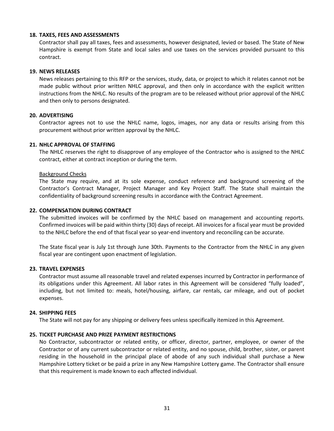#### **18. TAXES, FEES AND ASSESSMENTS**

Contractor shall pay all taxes, fees and assessments, however designated, levied or based. The State of New Hampshire is exempt from State and local sales and use taxes on the services provided pursuant to this contract.

#### **19. NEWS RELEASES**

News releases pertaining to this RFP or the services, study, data, or project to which it relates cannot not be made public without prior written NHLC approval, and then only in accordance with the explicit written instructions from the NHLC. No results of the program are to be released without prior approval of the NHLC and then only to persons designated.

#### **20. ADVERTISING**

Contractor agrees not to use the NHLC name, logos, images, nor any data or results arising from this procurement without prior written approval by the NHLC.

#### **21. NHLC APPROVAL OF STAFFING**

The NHLC reserves the right to disapprove of any employee of the Contractor who is assigned to the NHLC contract, either at contract inception or during the term.

#### Background Checks

The State may require, and at its sole expense, conduct reference and background screening of the Contractor's Contract Manager, Project Manager and Key Project Staff. The State shall maintain the confidentiality of background screening results in accordance with the Contract Agreement.

#### **22. COMPENSATION DURING CONTRACT**

The submitted invoices will be confirmed by the NHLC based on management and accounting reports. Confirmed invoices will be paid within thirty (30) days of receipt. All invoices for a fiscal year must be provided to the NHLC before the end of that fiscal year so year-end inventory and reconciling can be accurate.

The State fiscal year is July 1st through June 30th. Payments to the Contractor from the NHLC in any given fiscal year are contingent upon enactment of legislation.

#### **23. TRAVEL EXPENSES**

Contractor must assume all reasonable travel and related expenses incurred by Contractor in performance of its obligations under this Agreement. All labor rates in this Agreement will be considered "fully loaded", including, but not limited to: meals, hotel/housing, airfare, car rentals, car mileage, and out of pocket expenses.

#### **24. SHIPPING FEES**

The State will not pay for any shipping or delivery fees unless specifically itemized in this Agreement.

#### **25. TICKET PURCHASE AND PRIZE PAYMENT RESTRICTIONS**

No Contractor, subcontractor or related entity, or officer, director, partner, employee, or owner of the Contractor or of any current subcontractor or related entity, and no spouse, child, brother, sister, or parent residing in the household in the principal place of abode of any such individual shall purchase a New Hampshire Lottery ticket or be paid a prize in any New Hampshire Lottery game. The Contractor shall ensure that this requirement is made known to each affected individual.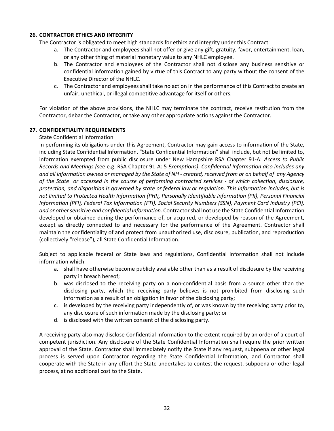### **26. CONTRACTOR ETHICS AND INTEGRITY**

The Contractor is obligated to meet high standards for ethics and integrity under this Contract:

- a. The Contractor and employees shall not offer or give any gift, gratuity, favor, entertainment, loan, or any other thing of material monetary value to any NHLC employee.
- b. The Contractor and employees of the Contractor shall not disclose any business sensitive or confidential information gained by virtue of this Contract to any party without the consent of the Executive Director of the NHLC.
- c. The Contractor and employees shall take no action in the performance of this Contract to create an unfair, unethical, or illegal competitive advantage for itself or others.

For violation of the above provisions, the NHLC may terminate the contract, receive restitution from the Contractor, debar the Contractor, or take any other appropriate actions against the Contractor.

#### **27. CONFIDENTIALITY REQUIREMENTS**

#### State Confidential Information

In performing its obligations under this Agreement, Contractor may gain access to information of the State, including State Confidential Information. "State Confidential Information" shall include, but not be limited to, information exempted from public disclosure under New Hampshire RSA Chapter 91-A: *Access to Public Records and Meetings (*see e.g. RSA Chapter 91-A: 5 *Exemptions). Confidential Information also includes any and all information owned or managed by the State of NH - created, received from or on behalf of any Agency of the State or accessed in the course of performing contracted services - of which collection, disclosure, protection, and disposition is governed by state or federal law or regulation. This information includes, but is not limited to Protected Health Information (PHI), Personally Identifiable Information (PII), Personal Financial Information (PFI), Federal Tax Information (FTI), Social Security Numbers (SSN), Payment Card Industry (PCI), and or other sensitive and confidential information.* Contractor shall not use the State Confidential Information developed or obtained during the performance of, or acquired, or developed by reason of the Agreement, except as directly connected to and necessary for the performance of the Agreement. Contractor shall maintain the confidentiality of and protect from unauthorized use, disclosure, publication, and reproduction (collectively "release"), all State Confidential Information.

Subject to applicable federal or State laws and regulations, Confidential Information shall not include information which:

- a. shall have otherwise become publicly available other than as a result of disclosure by the receiving party in breach hereof;
- b. was disclosed to the receiving party on a non-confidential basis from a source other than the disclosing party, which the receiving party believes is not prohibited from disclosing such information as a result of an obligation in favor of the disclosing party;
- c. is developed by the receiving party independently of, or was known by the receiving party prior to, any disclosure of such information made by the disclosing party; or
- d. is disclosed with the written consent of the disclosing party.

A receiving party also may disclose Confidential Information to the extent required by an order of a court of competent jurisdiction. Any disclosure of the State Confidential Information shall require the prior written approval of the State. Contractor shall immediately notify the State if any request, subpoena or other legal process is served upon Contractor regarding the State Confidential Information, and Contractor shall cooperate with the State in any effort the State undertakes to contest the request, subpoena or other legal process, at no additional cost to the State.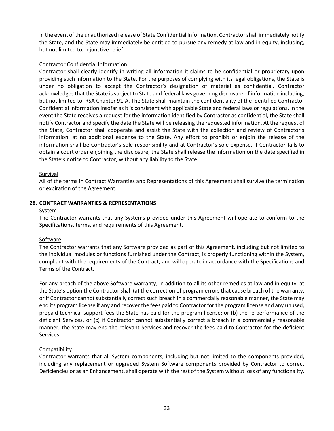In the event of the unauthorized release of State Confidential Information, Contractor shall immediately notify the State, and the State may immediately be entitled to pursue any remedy at law and in equity, including, but not limited to, injunctive relief.

#### Contractor Confidential Information

Contractor shall clearly identify in writing all information it claims to be confidential or proprietary upon providing such information to the State. For the purposes of complying with its legal obligations, the State is under no obligation to accept the Contractor's designation of material as confidential. Contractor acknowledges that the State is subject to State and federal laws governing disclosure of information including, but not limited to, RSA Chapter 91-A. The State shall maintain the confidentiality of the identified Contractor Confidential Information insofar as it is consistent with applicable State and federal laws or regulations. In the event the State receives a request for the information identified by Contractor as confidential, the State shall notify Contractor and specify the date the State will be releasing the requested information. At the request of the State, Contractor shall cooperate and assist the State with the collection and review of Contractor's information, at no additional expense to the State. Any effort to prohibit or enjoin the release of the information shall be Contractor's sole responsibility and at Contractor's sole expense. If Contractor fails to obtain a court order enjoining the disclosure, the State shall release the information on the date specified in the State's notice to Contractor, without any liability to the State.

#### Survival

All of the terms in Contract Warranties and Representations of this Agreement shall survive the termination or expiration of the Agreement.

#### **28. CONTRACT WARRANTIES & REPRESENTATIONS**

#### System

The Contractor warrants that any Systems provided under this Agreement will operate to conform to the Specifications, terms, and requirements of this Agreement.

#### **Software**

The Contractor warrants that any Software provided as part of this Agreement, including but not limited to the individual modules or functions furnished under the Contract, is properly functioning within the System, compliant with the requirements of the Contract, and will operate in accordance with the Specifications and Terms of the Contract.

For any breach of the above Software warranty, in addition to all its other remedies at law and in equity, at the State's option the Contractor shall (a) the correction of program errors that cause breach of the warranty, or if Contractor cannot substantially correct such breach in a commercially reasonable manner, the State may end its program license if any and recover the fees paid to Contractor for the program license and any unused, prepaid technical support fees the State has paid for the program license; or (b) the re-performance of the deficient Services, or (c) if Contractor cannot substantially correct a breach in a commercially reasonable manner, the State may end the relevant Services and recover the fees paid to Contractor for the deficient Services.

## **Compatibility**

Contractor warrants that all System components, including but not limited to the components provided, including any replacement or upgraded System Software components provided by Contractor to correct Deficiencies or as an Enhancement, shall operate with the rest of the System without loss of any functionality.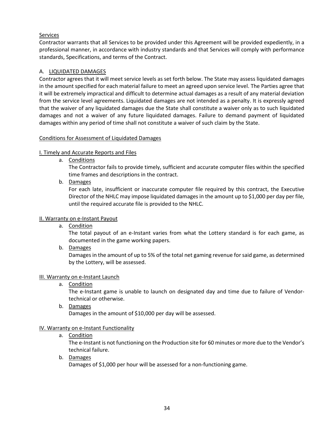# Services

Contractor warrants that all Services to be provided under this Agreement will be provided expediently, in a professional manner, in accordance with industry standards and that Services will comply with performance standards, Specifications, and terms of the Contract.

# A. LIQUIDATED DAMAGES

Contractor agrees that it will meet service levels as set forth below. The State may assess liquidated damages in the amount specified for each material failure to meet an agreed upon service level. The Parties agree that it will be extremely impractical and difficult to determine actual damages as a result of any material deviation from the service level agreements. Liquidated damages are not intended as a penalty. It is expressly agreed that the waiver of any liquidated damages due the State shall constitute a waiver only as to such liquidated damages and not a waiver of any future liquidated damages. Failure to demand payment of liquidated damages within any period of time shall not constitute a waiver of such claim by the State.

## Conditions for Assessment of Liquidated Damages

# I. Timely and Accurate Reports and Files

a. Conditions

The Contractor fails to provide timely, sufficient and accurate computer files within the specified time frames and descriptions in the contract.

b. Damages

For each late, insufficient or inaccurate computer file required by this contract, the Executive Director of the NHLC may impose liquidated damages in the amount up to \$1,000 per day per file, until the required accurate file is provided to the NHLC.

## II. Warranty on e-Instant Payout

a. Condition

The total payout of an e-Instant varies from what the Lottery standard is for each game, as documented in the game working papers.

b. Damages

Damages in the amount of up to 5% of the total net gaming revenue for said game, as determined by the Lottery, will be assessed.

## III. Warranty on e-Instant Launch

a. Condition

The e-Instant game is unable to launch on designated day and time due to failure of Vendortechnical or otherwise.

b. Damages Damages in the amount of \$10,000 per day will be assessed.

# IV. Warranty on e-Instant Functionality

a. Condition

The e-Instant is not functioning on the Production site for 60 minutes or more due to the Vendor's technical failure.

b. Damages

Damages of \$1,000 per hour will be assessed for a non-functioning game.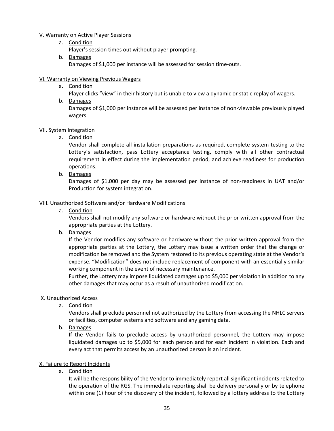#### V. Warranty on Active Player Sessions

a. Condition

Player's session times out without player prompting.

b. Damages Damages of \$1,000 per instance will be assessed for session time-outs.

#### VI. Warranty on Viewing Previous Wagers

a. Condition

Player clicks "view" in their history but is unable to view a dynamic or static replay of wagers.

b. Damages

Damages of \$1,000 per instance will be assessed per instance of non-viewable previously played wagers.

#### VII. System Integration

a. Condition

Vendor shall complete all installation preparations as required, complete system testing to the Lottery's satisfaction, pass Lottery acceptance testing, comply with all other contractual requirement in effect during the implementation period, and achieve readiness for production operations.

b. Damages

Damages of \$1,000 per day may be assessed per instance of non-readiness in UAT and/or Production for system integration.

#### VIII. Unauthorized Software and/or Hardware Modifications

a. Condition

Vendors shall not modify any software or hardware without the prior written approval from the appropriate parties at the Lottery.

b. Damages

If the Vendor modifies any software or hardware without the prior written approval from the appropriate parties at the Lottery, the Lottery may issue a written order that the change or modification be removed and the System restored to its previous operating state at the Vendor's expense. "Modification" does not include replacement of component with an essentially similar working component in the event of necessary maintenance.

Further, the Lottery may impose liquidated damages up to \$5,000 per violation in addition to any other damages that may occur as a result of unauthorized modification.

#### IX. Unauthorized Access

a. Condition

Vendors shall preclude personnel not authorized by the Lottery from accessing the NHLC servers or facilities, computer systems and software and any gaming data.

b. Damages

If the Vendor fails to preclude access by unauthorized personnel, the Lottery may impose liquidated damages up to \$5,000 for each person and for each incident in violation. Each and every act that permits access by an unauthorized person is an incident.

## X. Failure to Report Incidents

a. Condition

It will be the responsibility of the Vendor to immediately report all significant incidents related to the operation of the RGS. The immediate reporting shall be delivery personally or by telephone within one (1) hour of the discovery of the incident, followed by a lottery address to the Lottery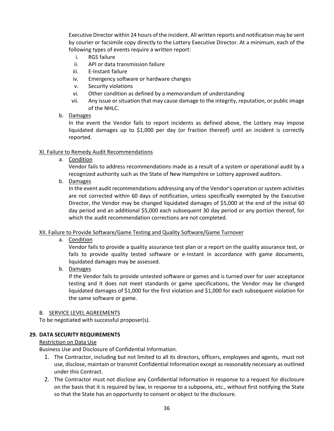Executive Director within 24 hours of the incident. All written reports and notification may be sent by courier or facsimile copy directly to the Lottery Executive Director. At a minimum, each of the following types of events require a written report:

- i. RGS failure
- ii. API or data transmission failure
- iii. E-Instant failure
- iv. Emergency software or hardware changes
- v. Security violations
- vi. Other condition as defined by a memorandum of understanding
- vii. Any issue or situation that may cause damage to the integrity, reputation, or public image of the NHLC.

#### b. Damages

In the event the Vendor fails to report incidents as defined above, the Lottery may impose liquidated damages up to \$1,000 per day (or fraction thereof) until an incident is correctly reported.

#### XI. Failure to Remedy Audit Recommendations

a. Condition

Vendor fails to address recommendations made as a result of a system or operational audit by a recognized authority such as the State of New Hampshire or Lottery approved auditors.

b. Damages

In the event audit recommendations addressing any of the Vendor's operation or system activities are not corrected within 60 days of notification, unless specifically exempted by the Executive Director, the Vendor may be changed liquidated damages of \$5,000 at the end of the initial 60 day period and an additional \$5,000 each subsequent 30 day period or any portion thereof, for which the audit recommendation corrections are not completed.

#### XII. Failure to Provide Software/Game Testing and Quality Software/Game Turnover

a. Condition

Vendor fails to provide a quality assurance test plan or a report on the quality assurance test, or fails to provide quality tested software or e-Instant in accordance with game documents, liquidated damages may be assessed.

b. Damages

If the Vendor fails to provide untested software or games and is turned over for user acceptance testing and it does not meet standards or game specifications, the Vendor may be changed liquidated damages of \$1,000 for the first violation and \$1,000 for each subsequent violation for the same software or game.

#### B. SERVICE LEVEL AGREEMENTS

To be negotiated with successful proposer(s).

#### **29. DATA SECURITY REQUIREMENTS**

#### Restriction on Data Use

Business Use and Disclosure of Confidential Information.

- 1. The Contractor, including but not limited to all its directors, officers, employees and agents, must not use, disclose, maintain or transmit Confidential Information except as reasonably necessary as outlined under this Contract.
- 2. The Contractor must not disclose any Confidential Information in response to a request for disclosure on the basis that it is required by law, in response to a subpoena, etc., without first notifying the State so that the State has an opportunity to consent or object to the disclosure.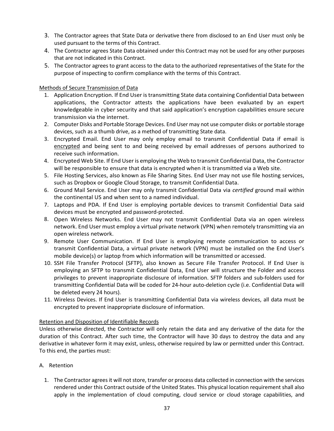- 3. The Contractor agrees that State Data or derivative there from disclosed to an End User must only be used pursuant to the terms of this Contract.
- 4. The Contractor agrees State Data obtained under this Contract may not be used for any other purposes that are not indicated in this Contract.
- 5. The Contractor agrees to grant access to the data to the authorized representatives of the State for the purpose of inspecting to confirm compliance with the terms of this Contract.

#### Methods of Secure Transmission of Data

- 1. Application Encryption. If End User is transmitting State data containing Confidential Data between applications, the Contractor attests the applications have been evaluated by an expert knowledgeable in cyber security and that said application's encryption capabilities ensure secure transmission via the internet.
- 2. Computer Disks and Portable Storage Devices. End User may not use computer disks or portable storage devices, such as a thumb drive, as a method of transmitting State data.
- 3. Encrypted Email. End User may only employ email to transmit Confidential Data if email is encrypted and being sent to and being received by email addresses of persons authorized to receive such information.
- 4. Encrypted Web Site. If End User is employing the Web to transmit Confidential Data, the Contractor will be responsible to ensure that data is encrypted when it is transmitted via a Web site.
- 5. File Hosting Services, also known as File Sharing Sites. End User may not use file hosting services, such as Dropbox or Google Cloud Storage, to transmit Confidential Data.
- 6. Ground Mail Service. End User may only transmit Confidential Data via *certified* ground mail within the continental US and when sent to a named individual.
- 7. Laptops and PDA. If End User is employing portable devices to transmit Confidential Data said devices must be encrypted and password-protected.
- 8. Open Wireless Networks. End User may not transmit Confidential Data via an open wireless network. End User must employ a virtual private network (VPN) when remotely transmitting via an open wireless network.
- 9. Remote User Communication. If End User is employing remote communication to access or transmit Confidential Data, a virtual private network (VPN) must be installed on the End User's mobile device(s) or laptop from which information will be transmitted or accessed.
- 10. SSH File Transfer Protocol (SFTP), also known as Secure File Transfer Protocol. If End User is employing an SFTP to transmit Confidential Data, End User will structure the Folder and access privileges to prevent inappropriate disclosure of information. SFTP folders and sub-folders used for transmitting Confidential Data will be coded for 24-hour auto-deletion cycle (i.e. Confidential Data will be deleted every 24 hours).
- 11. Wireless Devices. If End User is transmitting Confidential Data via wireless devices, all data must be encrypted to prevent inappropriate disclosure of information.

#### Retention and Disposition of Identifiable Records

Unless otherwise directed, the Contractor will only retain the data and any derivative of the data for the duration of this Contract. After such time, the Contractor will have 30 days to destroy the data and any derivative in whatever form it may exist, unless, otherwise required by law or permitted under this Contract. To this end, the parties must:

- A. Retention
	- 1. The Contractor agrees it will not store, transfer or process data collected in connection with the services rendered under this Contract outside of the United States. This physical location requirement shall also apply in the implementation of cloud computing, cloud service or cloud storage capabilities, and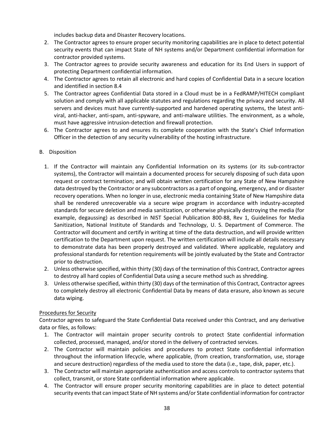includes backup data and Disaster Recovery locations.

- 2. The Contractor agrees to ensure proper security monitoring capabilities are in place to detect potential security events that can impact State of NH systems and/or Department confidential information for contractor provided systems.
- 3. The Contractor agrees to provide security awareness and education for its End Users in support of protecting Department confidential information.
- 4. The Contractor agrees to retain all electronic and hard copies of Confidential Data in a secure location and identified in section 8.4
- 5. The Contractor agrees Confidential Data stored in a Cloud must be in a FedRAMP/HITECH compliant solution and comply with all applicable statutes and regulations regarding the privacy and security. All servers and devices must have currently-supported and hardened operating systems, the latest antiviral, anti-hacker, anti-spam, anti-spyware, and anti-malware utilities. The environment, as a whole, must have aggressive intrusion-detection and firewall protection.
- 6. The Contractor agrees to and ensures its complete cooperation with the State's Chief Information Officer in the detection of any security vulnerability of the hosting infrastructure.

## B. Disposition

- 1. If the Contractor will maintain any Confidential Information on its systems (or its sub-contractor systems), the Contractor will maintain a documented process for securely disposing of such data upon request or contract termination; and will obtain written certification for any State of New Hampshire data destroyed by the Contractor or any subcontractors as a part of ongoing, emergency, and or disaster recovery operations. When no longer in use, electronic media containing State of New Hampshire data shall be rendered unrecoverable via a secure wipe program in accordance with industry-accepted standards for secure deletion and media sanitization, or otherwise physically destroying the media (for example, degaussing) as described in NIST Special Publication 800-88, Rev 1, Guidelines for Media Sanitization, National Institute of Standards and Technology, U. S. Department of Commerce. The Contractor will document and certify in writing at time of the data destruction, and will provide written certification to the Department upon request. The written certification will include all details necessary to demonstrate data has been properly destroyed and validated. Where applicable, regulatory and professional standards for retention requirements will be jointly evaluated by the State and Contractor prior to destruction.
- 2. Unless otherwise specified, within thirty (30) days of the termination of this Contract, Contractor agrees to destroy all hard copies of Confidential Data using a secure method such as shredding.
- 3. Unless otherwise specified, within thirty (30) days of the termination of this Contract, Contractor agrees to completely destroy all electronic Confidential Data by means of data erasure, also known as secure data wiping.

#### Procedures for Security

Contractor agrees to safeguard the State Confidential Data received under this Contract, and any derivative data or files, as follows:

- 1. The Contractor will maintain proper security controls to protect State confidential information collected, processed, managed, and/or stored in the delivery of contracted services.
- 2. The Contractor will maintain policies and procedures to protect State confidential information throughout the information lifecycle, where applicable, (from creation, transformation, use, storage and secure destruction) regardless of the media used to store the data (i.e., tape, disk, paper, etc.).
- 3. The Contractor will maintain appropriate authentication and access controls to contractor systems that collect, transmit, or store State confidential information where applicable.
- 4. The Contractor will ensure proper security monitoring capabilities are in place to detect potential security events that can impact State of NH systems and/or State confidential information for contractor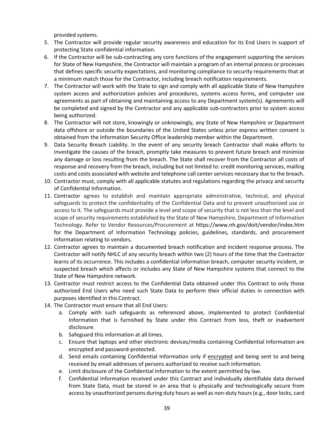provided systems.

- 5. The Contractor will provide regular security awareness and education for its End Users in support of protecting State confidential information.
- 6. If the Contractor will be sub-contracting any core functions of the engagement supporting the services for State of New Hampshire, the Contractor will maintain a program of an internal process or processes that defines specific security expectations, and monitoring compliance to security requirements that at a minimum match those for the Contractor, including breach notification requirements.
- 7. The Contractor will work with the State to sign and comply with all applicable State of New Hampshire system access and authorization policies and procedures, systems access forms, and computer use agreements as part of obtaining and maintaining access to any Department system(s). Agreements will be completed and signed by the Contractor and any applicable sub-contractors prior to system access being authorized.
- 8. The Contractor will not store, knowingly or unknowingly, any State of New Hampshire or Department data offshore or outside the boundaries of the United States unless prior express written consent is obtained from the Information Security Office leadership member within the Department.
- 9. Data Security Breach Liability. In the event of any security breach Contractor shall make efforts to investigate the causes of the breach, promptly take measures to prevent future breach and minimize any damage or loss resulting from the breach. The State shall recover from the Contractor all costs of response and recovery from the breach, including but not limited to: credit monitoring services, mailing costs and costs associated with website and telephone call center services necessary due to the breach.
- 10. Contractor must, comply with all applicable statutes and regulations regarding the privacy and security of Confidential Information.
- 11. Contractor agrees to establish and maintain appropriate administrative, technical, and physical safeguards to protect the confidentiality of the Confidential Data and to prevent unauthorized use or access to it. The safeguards must provide a level and scope of security that is not less than the level and scope of security requirements established by the State of New Hampshire, Department of Information Technology. Refer to Vendor Resources/Procurement at https://www.nh.gov/doit/vendor/index.htm for the Department of Information Technology policies, guidelines, standards, and procurement information relating to vendors.
- 12. Contractor agrees to maintain a documented breach notification and incident response process. The Contractor will notify NHLC of any security breach within two (2) hours of the time that the Contractor learns of its occurrence. This includes a confidential information breach, computer security incident, or suspected breach which affects or includes any State of New Hampshire systems that connect to the State of New Hampshire network.
- 13. Contractor must restrict access to the Confidential Data obtained under this Contract to only those authorized End Users who need such State Data to perform their official duties in connection with purposes identified in this Contract.
- 14. The Contractor must ensure that all End Users:
	- a. Comply with such safeguards as referenced above, implemented to protect Confidential Information that is furnished by State under this Contract from loss, theft or inadvertent disclosure.
	- b. Safeguard this information at all times.
	- c. Ensure that laptops and other electronic devices/media containing Confidential Information are encrypted and password-protected.
	- d. Send emails containing Confidential Information only if encrypted and being sent to and being received by email addresses of persons authorized to receive such information.
	- e. Limit disclosure of the Confidential Information to the extent permitted by law.
	- f. Confidential Information received under this Contract and individually identifiable data derived from State Data, must be stored in an area that is physically and technologically secure from access by unauthorized persons during duty hours as well as non-duty hours (e.g., door locks, card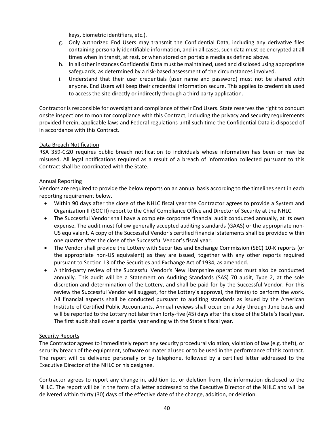keys, biometric identifiers, etc.).

- g. Only authorized End Users may transmit the Confidential Data, including any derivative files containing personally identifiable information, and in all cases, such data must be encrypted at all times when in transit, at rest, or when stored on portable media as defined above.
- h. In all other instances Confidential Data must be maintained, used and disclosed using appropriate safeguards, as determined by a risk-based assessment of the circumstances involved.
- i. Understand that their user credentials (user name and password) must not be shared with anyone. End Users will keep their credential information secure. This applies to credentials used to access the site directly or indirectly through a third party application.

Contractor is responsible for oversight and compliance of their End Users. State reserves the right to conduct onsite inspections to monitor compliance with this Contract, including the privacy and security requirements provided herein, applicable laws and Federal regulations until such time the Confidential Data is disposed of in accordance with this Contract.

#### Data Breach Notification

RSA 359-C:20 requires public breach notification to individuals whose information has been or may be misused. All legal notifications required as a result of a breach of information collected pursuant to this Contract shall be coordinated with the State.

#### Annual Reporting

Vendors are required to provide the below reports on an annual basis according to the timelines sent in each reporting requirement below.

- Within 90 days after the close of the NHLC fiscal year the Contractor agrees to provide a System and Organization II (SOC II) report to the Chief Compliance Office and Director of Security at the NHLC.
- The Successful Vendor shall have a complete corporate financial audit conducted annually, at its own expense. The audit must follow generally accepted auditing standards (GAAS) or the appropriate non-US equivalent. A copy of the Successful Vendor's certified financial statements shall be provided within one quarter after the close of the Successful Vendor's fiscal year.
- The Vendor shall provide the Lottery with Securities and Exchange Commission (SEC) 10-K reports (or the appropriate non-US equivalent) as they are issued, together with any other reports required pursuant to Section 13 of the Securities and Exchange Act of 1934, as amended.
- A third-party review of the Successful Vendor's New Hampshire operations must also be conducted annually. This audit will be a Statement on Auditing Standards (SAS) 70 audit, Type 2, at the sole discretion and determination of the Lottery, and shall be paid for by the Successful Vendor. For this review the Successful Vendor will suggest, for the Lottery's approval, the firm(s) to perform the work. All financial aspects shall be conducted pursuant to auditing standards as issued by the American Institute of Certified Public Accountants. Annual reviews shall occur on a July through June basis and will be reported to the Lottery not later than forty-five (45) days after the close of the State's fiscal year. The first audit shall cover a partial year ending with the State's fiscal year.

#### Security Reports

The Contractor agrees to immediately report any security procedural violation, violation of law (e.g. theft), or security breach of the equipment, software or material used or to be used in the performance of this contract. The report will be delivered personally or by telephone, followed by a certified letter addressed to the Executive Director of the NHLC or his designee.

Contractor agrees to report any change in, addition to, or deletion from, the information disclosed to the NHLC. The report will be in the form of a letter addressed to the Executive Director of the NHLC and will be delivered within thirty (30) days of the effective date of the change, addition, or deletion.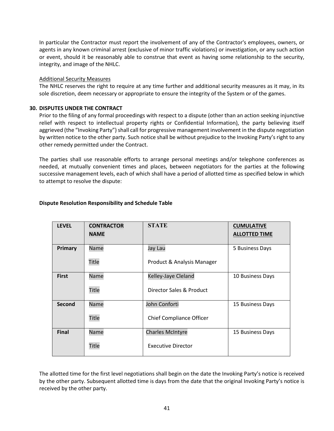In particular the Contractor must report the involvement of any of the Contractor's employees, owners, or agents in any known criminal arrest (exclusive of minor traffic violations) or investigation, or any such action or event, should it be reasonably able to construe that event as having some relationship to the security, integrity, and image of the NHLC.

#### Additional Security Measures

The NHLC reserves the right to require at any time further and additional security measures as it may, in its sole discretion, deem necessary or appropriate to ensure the integrity of the System or of the games.

#### **30. DISPUTES UNDER THE CONTRACT**

Prior to the filing of any formal proceedings with respect to a dispute (other than an action seeking injunctive relief with respect to intellectual property rights or Confidential Information), the party believing itself aggrieved (the "Invoking Party") shall call for progressive management involvement in the dispute negotiation by written notice to the other party. Such notice shall be without prejudice to the Invoking Party's right to any other remedy permitted under the Contract.

The parties shall use reasonable efforts to arrange personal meetings and/or telephone conferences as needed, at mutually convenient times and places, between negotiators for the parties at the following successive management levels, each of which shall have a period of allotted time as specified below in which to attempt to resolve the dispute:

| <b>LEVEL</b> | <b>CONTRACTOR</b><br><b>NAME</b> | <b>STATE</b>                    | <b>CUMULATIVE</b><br><b>ALLOTTED TIME</b> |
|--------------|----------------------------------|---------------------------------|-------------------------------------------|
| Primary      | Name                             | Jay Lau                         | 5 Business Days                           |
|              | <b>Title</b>                     | Product & Analysis Manager      |                                           |
| <b>First</b> | Name                             | Kelley-Jaye Cleland             | 10 Business Days                          |
|              | <b>Title</b>                     | Director Sales & Product        |                                           |
| Second       | Name                             | John Conforti                   | 15 Business Days                          |
|              | <b>Title</b>                     | <b>Chief Compliance Officer</b> |                                           |
| <b>Final</b> | Name                             | <b>Charles McIntyre</b>         | 15 Business Days                          |
|              | <b>Title</b>                     | <b>Executive Director</b>       |                                           |

#### **Dispute Resolution Responsibility and Schedule Table**

The allotted time for the first level negotiations shall begin on the date the Invoking Party's notice is received by the other party. Subsequent allotted time is days from the date that the original Invoking Party's notice is received by the other party.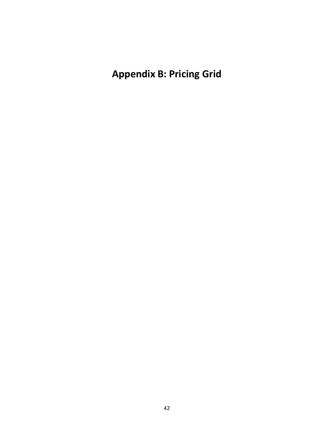**Appendix B: Pricing Grid**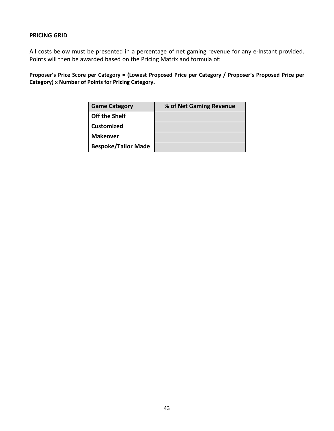# **PRICING GRID**

All costs below must be presented in a percentage of net gaming revenue for any e-Instant provided. Points will then be awarded based on the Pricing Matrix and formula of:

**Proposer's Price Score per Category = (Lowest Proposed Price per Category / Proposer's Proposed Price per Category) x Number of Points for Pricing Category.**

| <b>Game Category</b>       | % of Net Gaming Revenue |
|----------------------------|-------------------------|
| <b>Off the Shelf</b>       |                         |
| <b>Customized</b>          |                         |
| <b>Makeover</b>            |                         |
| <b>Bespoke/Tailor Made</b> |                         |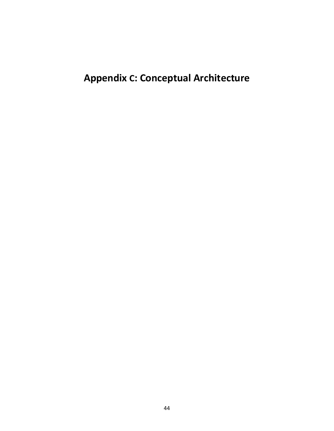# **Appendix C: Conceptual Architecture**